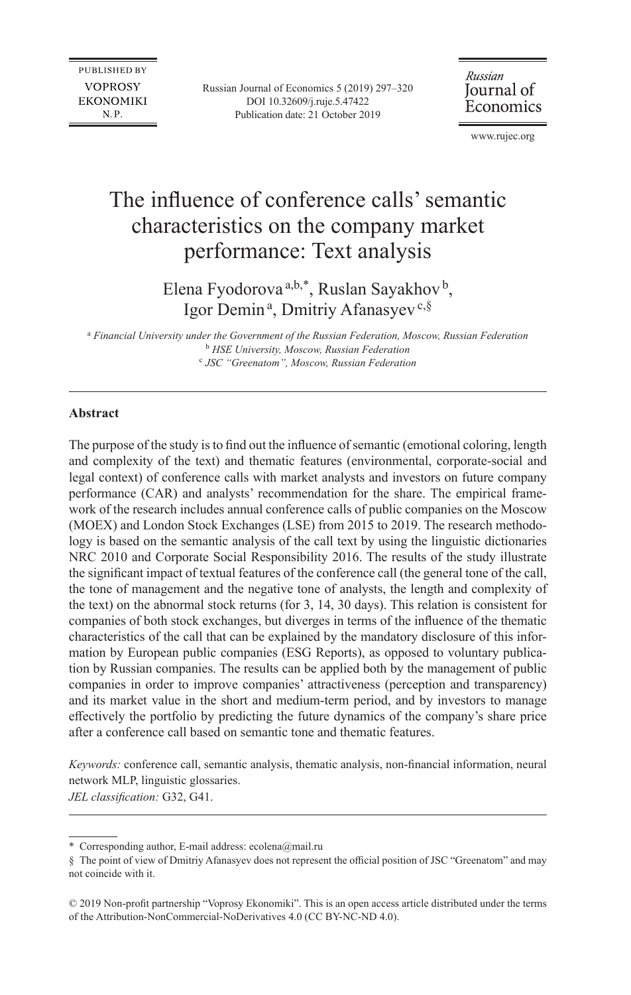Russian Journal of Economics 5 (2019) 297–320 DOI 10.32609/j.ruje.5.47422 Publication date: 21 October 2019

Russian Journal of Economics

www.rujec.org

# The influence of conference calls'semantic characteristics on the company market performance: Text analysis

Elena Fyodorova<sup>a,b,\*</sup>, Ruslan Sayakhov<sup>b</sup>, Igor Demin<sup>a</sup>, Dmitriy Afanasyev<sup>c,§</sup>

a  *Financial University under the Government of the Russian Federation, Moscow, Russian Federation* b  *HSE University, Moscow, Russian Federation* c  *JSC "Greenatom", Moscow, Russian Federation*

## **Abstract**

The purpose of the study is to find out the influence of semantic (emotional coloring, length and complexity of the text) and thematic features (environmental, corporate-social and legal context) of conference calls with market analysts and investors on future company performance (CAR) and analysts' recommendation for the share. The empirical framework of the research includes annual conference calls of public companies on the Moscow (MOEX) and London Stock Exchanges (LSE) from 2015 to 2019. The research methodology is based on the semantic analysis of the call text by using the linguistic dictionaries NRC 2010 and Corporate Social Responsibility 2016. The results of the study illustrate the significant impact of textual features of the conference call (the general tone of the call, the tone of management and the negative tone of analysts, the length and complexity of the text) on the abnormal stock returns (for 3, 14, 30 days). This relation is consistent for companies of both stock exchanges, but diverges in terms of the influence of the thematic characteristics of the call that can be explained by the mandatory disclosure of this information by European public companies (ESG Reports), as opposed to voluntary publication by Russian companies. The results can be applied both by the management of public companies in order to improve companies' attractiveness (perception and transparency) and its market value in the short and medium-term period, and by investors to manage effectively the portfolio by predicting the future dynamics of the company's share price after a conference call based on semantic tone and thematic features.

*Keywords:* conference call, semantic analysis, thematic analysis, non-financial information, neural network MLP, linguistic glossaries. *JEL classification:* G32, G41.

<sup>\*</sup> Corresponding author, E-mail address: [ecolena@mail.ru](mailto:ecolena@mail.ru)

<sup>§</sup> The point of view of Dmitriy Afanasyev does not represent the official position of JSC "Greenatom" and may not coincide with it.

<sup>©</sup> 2019 Non-profit partnership "Voprosy Ekonomiki". This is an open access article distributed under the terms of the [Attribution-NonCommercial-NoDerivatives 4.0 \(CC BY-NC-ND 4.0\)](http://creativecommons.org/licenses/by-nc-nd/4.0/).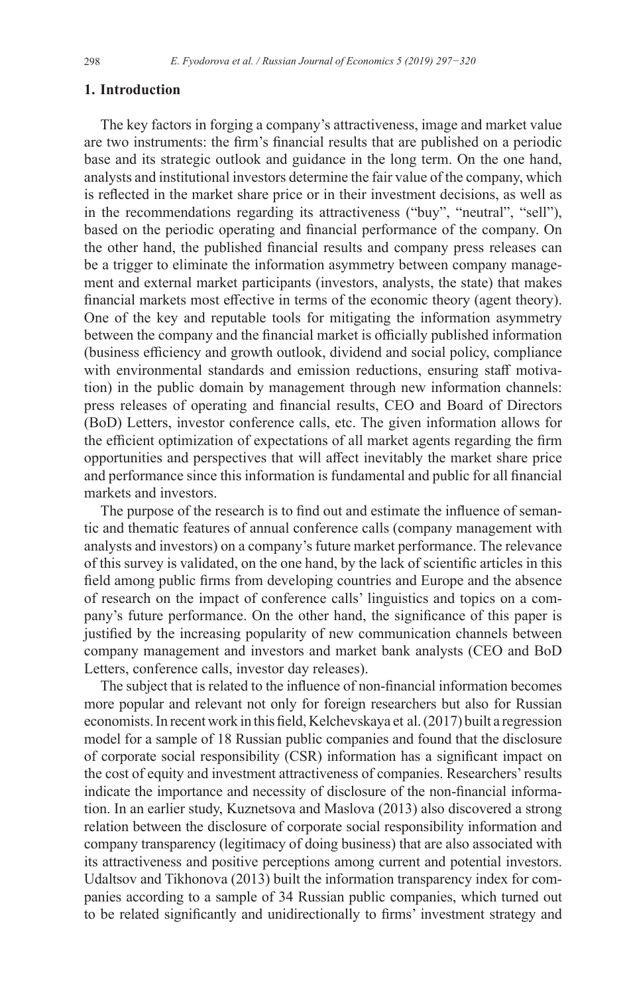## **1. Introduction**

The key factors in forging a company's attractiveness, image and market value are two instruments: the firm's financial results that are published on a periodic base and its strategic outlook and guidance in the long term. On the one hand, analysts and institutional investors determine the fair value of the company, which is reflected in the market share price or in their investment decisions, as well as in the recommendations regarding its attractiveness ("buy", "neutral", "sell"), based on the periodic operating and financial performance of the company. On the other hand, the published financial results and company press releases can be a trigger to eliminate the information asymmetry between company management and external market participants (investors, analysts, the state) that makes financial markets most effective in terms of the economic theory (agent theory). One of the key and reputable tools for mitigating the information asymmetry between the company and the financial market is officially published information (business efficiency and growth outlook, dividend and social policy, compliance with environmental standards and emission reductions, ensuring staff motivation) in the public domain by management through new information channels: press releases of operating and financial results, CEO and Board of Directors (BoD) Letters, investor conference calls, etc. The given information allows for the efficient optimization of expectations of all market agents regarding the firm opportunities and perspectives that will affect inevitably the market share price and performance since this information is fundamental and public for all financial markets and investors.

The purpose of the research is to find out and estimate the influence of semantic and thematic features of annual conference calls (company management with analysts and investors) on a company's future market performance. The relevance of this survey is validated, on the one hand, by the lack of scientific articles in this field among public firms from developing countries and Europe and the absence of research on the impact of conference calls' linguistics and topics on a company's future performance. On the other hand, the significance of this paper is justified by the increasing popularity of new communication channels between company management and investors and market bank analysts (CEO and BoD Letters, conference calls, investor day releases).

The subject that is related to the influence of non-financial information becomes more popular and relevant not only for foreign researchers but also for Russian economists. In recent work in this field, Kelchevskaya et al. (2017) built a regression model for a sample of 18 Russian public companies and found that the disclosure of corporate social responsibility (CSR) information has a significant impact on the cost of equity and investment attractiveness of companies. Researchers'results indicate the importance and necessity of disclosure of the non-financial information. In an earlier study, Kuznetsova and Maslova (2013) also discovered a strong relation between the disclosure of corporate social responsibility information and company transparency (legitimacy of doing business) that are also associated with its attractiveness and positive perceptions among current and potential investors. Udaltsov and Tikhonova (2013) built the information transparency index for companies according to a sample of 34 Russian public companies, which turned out to be related significantly and unidirectionally to firms' investment strategy and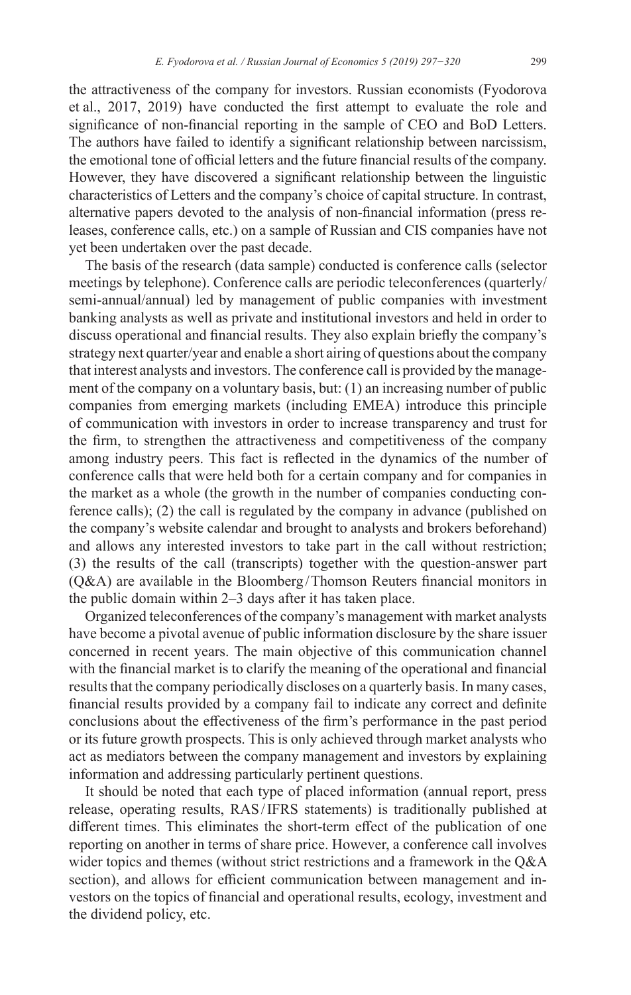the attractiveness of the company for investors. Russian economists (Fyodorova et al., 2017, 2019) have conducted the first attempt to evaluate the role and significance of non-financial reporting in the sample of CEO and BoD Letters. The authors have failed to identify a significant relationship between narcissism, the emotional tone of official letters and the future financial results of the company. However, they have discovered a significant relationship between the linguistic characteristics of Letters and the company's choice of capital structure. In contrast, alternative papers devoted to the analysis of non-financial information (press releases, conference calls, etc.) on a sample of Russian and CIS companies have not yet been undertaken over the past decade.

The basis of the research (data sample) conducted is conference calls (selector meetings by telephone). Conference calls are periodic teleconferences (quarterly/ semi-annual/annual) led by management of public companies with investment banking analysts as well as private and institutional investors and held in order to discuss operational and financial results. They also explain briefly the company's strategy next quarter/year and enable a short airing of questions about the company that interest analysts and investors. The conference call is provided by the management of the company on a voluntary basis, but: (1) an increasing number of public companies from emerging markets (including EMEA) introduce this principle of communication with investors in order to increase transparency and trust for the firm, to strengthen the attractiveness and competitiveness of the company among industry peers. This fact is reflected in the dynamics of the number of conference calls that were held both for a certain company and for companies in the market as a whole (the growth in the number of companies conducting conference calls); (2) the call is regulated by the company in advance (published on the company's website calendar and brought to analysts and brokers beforehand) and allows any interested investors to take part in the call without restriction; (3) the results of the call (transcripts) together with the question-answer part (Q&A) are available in the Bloomberg /Thomson Reuters financial monitors in the public domain within 2–3 days after it has taken place.

Organized teleconferences of the company's management with market analysts have become a pivotal avenue of public information disclosure by the share issuer concerned in recent years. The main objective of this communication channel with the financial market is to clarify the meaning of the operational and financial results that the company periodically discloses on a quarterly basis. In many cases, financial results provided by a company fail to indicate any correct and definite conclusions about the effectiveness of the firm's performance in the past period or its future growth prospects. This is only achieved through market analysts who act as mediators between the company management and investors by explaining information and addressing particularly pertinent questions.

It should be noted that each type of placed information (annual report, press release, operating results, RAS/IFRS statements) is traditionally published at different times. This eliminates the short-term effect of the publication of one reporting on another in terms of share price. However, a conference call involves wider topics and themes (without strict restrictions and a framework in the Q&A section), and allows for efficient communication between management and investors on the topics of financial and operational results, ecology, investment and the dividend policy, etc.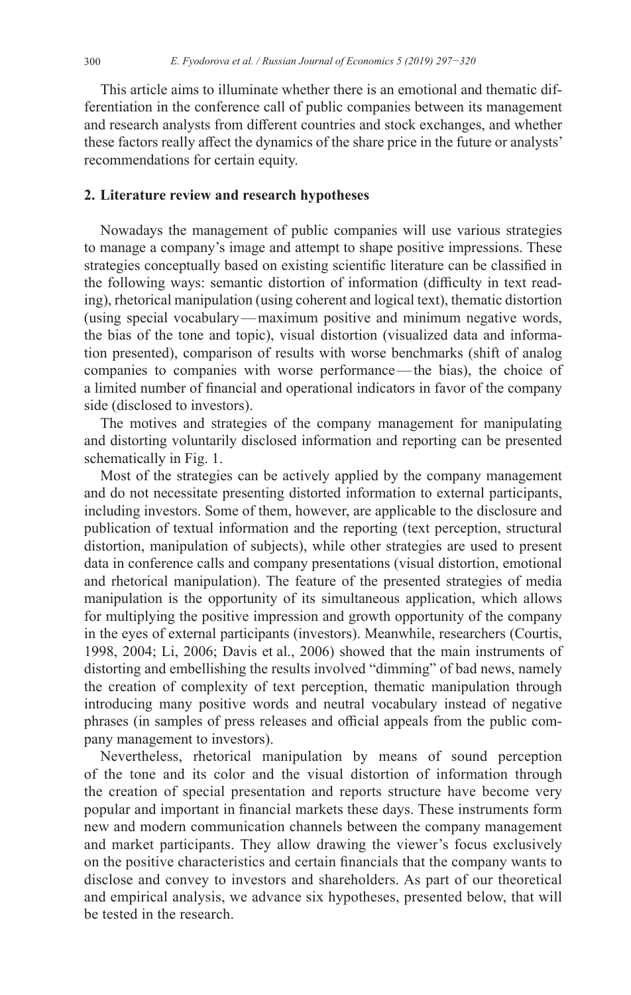This article aims to illuminate whether there is an emotional and thematic differentiation in the conference call of public companies between its management and research analysts from different countries and stock exchanges, and whether these factors really affect the dynamics of the share price in the future or analysts' recommendations for certain equity.

## **2. Literature review and research hypotheses**

Nowadays the management of public companies will use various strategies to manage a company's image and attempt to shape positive impressions. These strategies conceptually based on existing scientific literature can be classified in the following ways: semantic distortion of information (difficulty in text reading), rhetorical manipulation (using coherent and logical text), thematic distortion (using special vocabulary—maximum positive and minimum negative words, the bias of the tone and topic), visual distortion (visualized data and information presented), comparison of results with worse benchmarks (shift of analog companies to companies with worse performance—the bias), the choice of a limited number of financial and operational indicators in favor of the company side (disclosed to investors).

The motives and strategies of the company management for manipulating and distorting voluntarily disclosed information and reporting can be presented schematically in Fig. 1.

Most of the strategies can be actively applied by the company management and do not necessitate presenting distorted information to external participants, including investors. Some of them, however, are applicable to the disclosure and publication of textual information and the reporting (text perception, structural distortion, manipulation of subjects), while other strategies are used to present data in conference calls and company presentations (visual distortion, emotional and rhetorical manipulation). The feature of the presented strategies of media manipulation is the opportunity of its simultaneous application, which allows for multiplying the positive impression and growth opportunity of the company in the eyes of external participants (investors). Meanwhile, researchers (Сourtis, 1998, 2004; Li, 2006; Davis et al., 2006) showed that the main instruments of distorting and embellishing the results involved "dimming" of bad news, namely the creation of complexity of text perception, thematic manipulation through introducing many positive words and neutral vocabulary instead of negative phrases (in samples of press releases and official appeals from the public company management to investors).

Nevertheless, rhetorical manipulation by means of sound perception of the tone and its color and the visual distortion of information through the creation of special presentation and reports structure have become very popular and important in financial markets these days. These instruments form new and modern communication channels between the company management and market participants. They allow drawing the viewer's focus exclusively on the positive characteristics and certain financials that the company wants to disclose and convey to investors and shareholders. As part of our theoretical and empirical analysis, we advance six hypotheses, presented below, that will be tested in the research.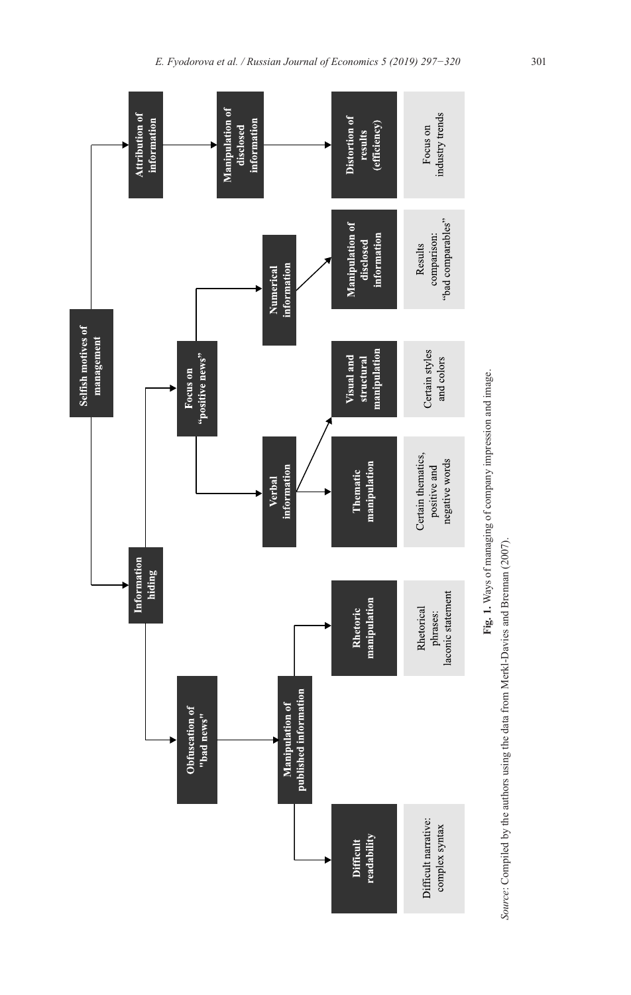



Source: Compiled by the authors using the data from Merkl-Davies and Brennan (2007). *Source*: Compiled by the authors using the data from Merkl-Davies and Brennan (2007).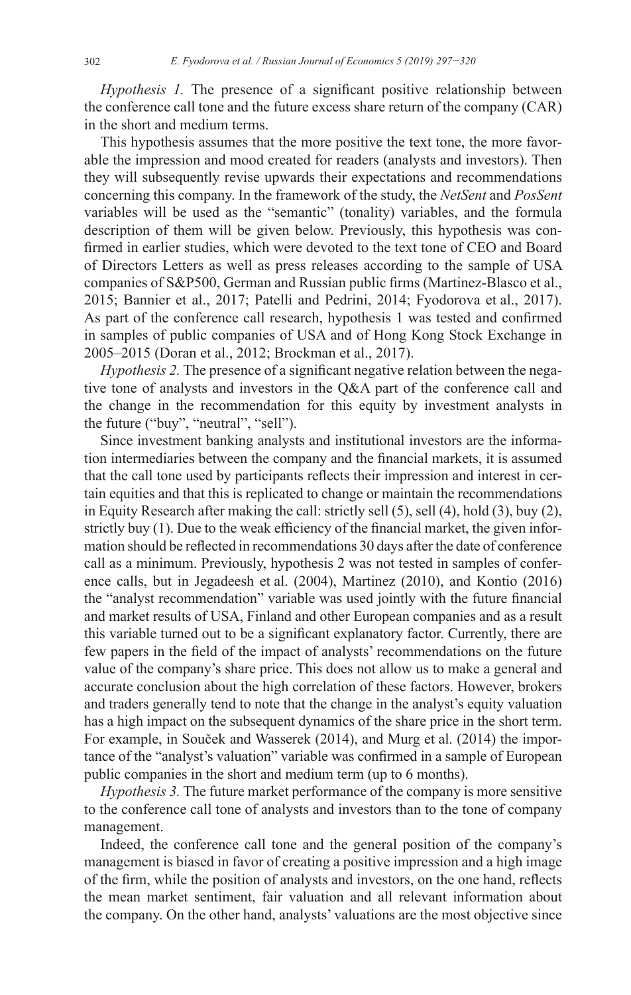*Hypothesis 1.* The presence of a significant positive relationship between the conference call tone and the future excess share return of the company (CAR) in the short and medium terms.

This hypothesis assumes that the more positive the text tone, the more favorable the impression and mood created for readers (analysts and investors). Then they will subsequently revise upwards their expectations and recommendations concerning this company. In the framework of the study, the *NetSent* and *PosSent*  variables will be used as the "semantic" (tonality) variables, and the formula description of them will be given below. Previously, this hypothesis was confirmed in earlier studies, which were devoted to the text tone of CEO and Board of Directors Letters as well as press releases according to the sample of USA companies of S&P500, German and Russian public firms (Martinez-Blasco et al., 2015; Bannier et al., 2017; Patelli and Pedrini, 2014; Fyodorova et al., 2017). As part of the conference call research, hypothesis 1 was tested and confirmed in samples of public companies of USA and of Hong Kong Stock Exchange in 2005–2015 (Doran et al., 2012; Brockman et al., 2017).

*Hypothesis 2.* The presence of a significant negative relation between the negative tone of analysts and investors in the Q&A part of the conference call and the change in the recommendation for this equity by investment analysts in the future ("buy", "neutral", "sell").

Since investment banking analysts and institutional investors are the information intermediaries between the company and the financial markets, it is assumed that the call tone used by participants reflects their impression and interest in certain equities and that this is replicated to change or maintain the recommendations in Equity Research after making the call: strictly sell (5), sell (4), hold (3), buy (2), strictly buy (1). Due to the weak efficiency of the financial market, the given information should be reflected in recommendations 30 days after the date of conference call as a minimum. Previously, hypothesis 2 was not tested in samples of conference calls, but in Jegadeesh et al. (2004), Martinez (2010), and Kontio (2016) the "analyst recommendation" variable was used jointly with the future financial and market results of USA, Finland and other European companies and as a result this variable turned out to be a significant explanatory factor. Currently, there are few papers in the field of the impact of analysts' recommendations on the future value of the company's share price. This does not allow us to make a general and accurate conclusion about the high correlation of these factors. However, brokers and traders generally tend to note that the change in the analyst's equity valuation has a high impact on the subsequent dynamics of the share price in the short term. For example, in Souček and Wasserek (2014), and Murg et al. (2014) the importance of the "analyst's valuation" variable was confirmed in a sample of European public companies in the short and medium term (up to 6 months).

*Hypothesis 3.* The future market performance of the company is more sensitive to the conference call tone of analysts and investors than to the tone of company management.

Indeed, the conference call tone and the general position of the company's management is biased in favor of creating a positive impression and a high image of the firm, while the position of analysts and investors, on the one hand, reflects the mean market sentiment, fair valuation and all relevant information about the company. On the other hand, analysts' valuations are the most objective since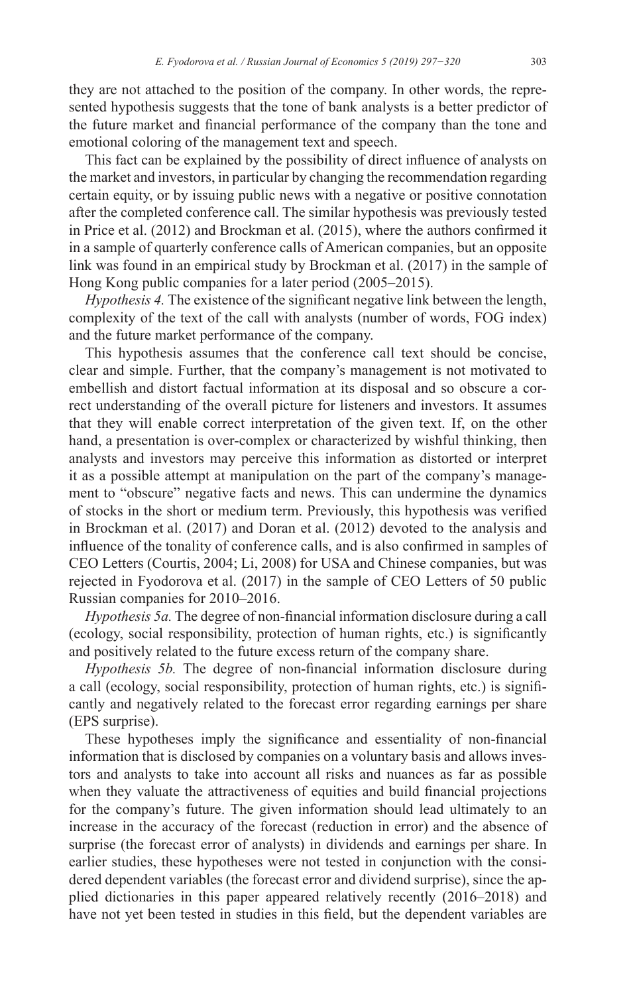they are not attached to the position of the company. In other words, the represented hypothesis suggests that the tone of bank analysts is a better predictor of the future market and financial performance of the company than the tone and emotional coloring of the management text and speech.

This fact can be explained by the possibility of direct influence of analysts on the market and investors, in particular by changing the recommendation regarding certain equity, or by issuing public news with a negative or positive connotation after the completed conference call. The similar hypothesis was previously tested in Price et al. (2012) and Brockman et al. (2015), where the authors confirmed it in a sample of quarterly conference calls of American companies, but an opposite link was found in an empirical study by Brockman et al. (2017) in the sample of Hong Kong public companies for a later period (2005–2015).

*Hypothesis 4.* The existence of the significant negative link between the length, complexity of the text of the call with analysts (number of words, FOG index) and the future market performance of the company.

This hypothesis assumes that the conference call text should be concise, clear and simple. Further, that the company's management is not motivated to embellish and distort factual information at its disposal and so obscure a correct understanding of the overall picture for listeners and investors. It assumes that they will enable correct interpretation of the given text. If, on the other hand, a presentation is over-complex or characterized by wishful thinking, then analysts and investors may perceive this information as distorted or interpret it as a possible attempt at manipulation on the part of the company's management to "obscure" negative facts and news. This can undermine the dynamics of stocks in the short or medium term. Previously, this hypothesis was verified in Brockman et al. (2017) and Doran et al. (2012) devoted to the analysis and influence of the tonality of conference calls, and is also confirmed in samples of CEO Letters (Courtis, 2004; Li, 2008) for USA and Chinese companies, but was rejected in Fyodorova et al. (2017) in the sample of CEO Letters of 50 public Russian companies for 2010–2016.

*Hypothesis 5a.* The degree of non-financial information disclosure during a call (ecology, social responsibility, protection of human rights, etc.) is significantly and positively related to the future excess return of the company share.

*Hypothesis 5b.* The degree of non-financial information disclosure during a call (ecology, social responsibility, protection of human rights, etc.) is significantly and negatively related to the forecast error regarding earnings per share (EPS surprise).

These hypotheses imply the significance and essentiality of non-financial information that is disclosed by companies on a voluntary basis and allows investors and analysts to take into account all risks and nuances as far as possible when they valuate the attractiveness of equities and build financial projections for the company's future. The given information should lead ultimately to an increase in the accuracy of the forecast (reduction in error) and the absence of surprise (the forecast error of analysts) in dividends and earnings per share. In earlier studies, these hypotheses were not tested in conjunction with the considered dependent variables (the forecast error and dividend surprise), since the applied dictionaries in this paper appeared relatively recently (2016–2018) and have not yet been tested in studies in this field, but the dependent variables are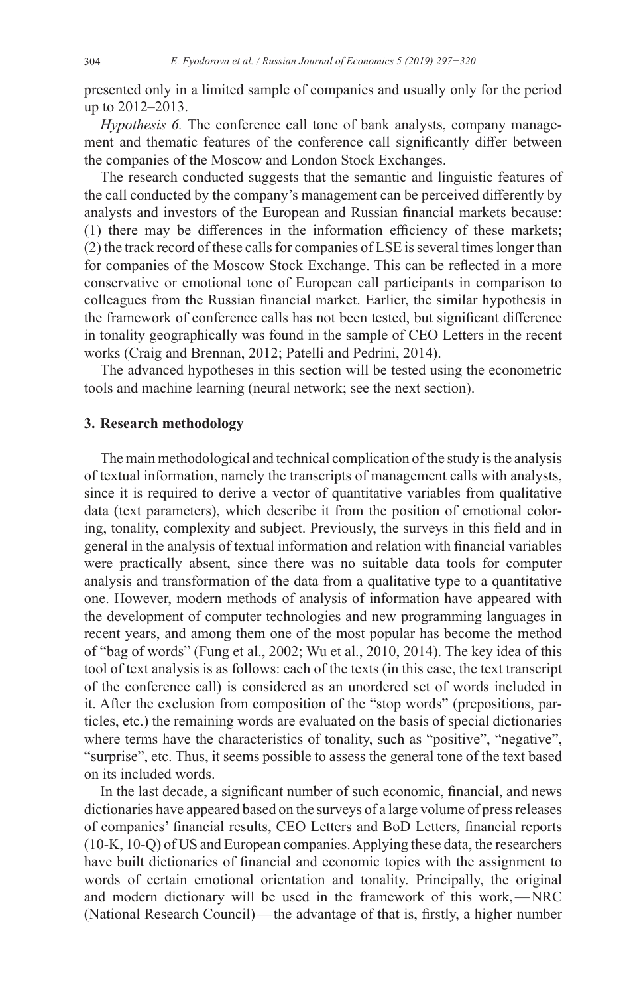presented only in a limited sample of companies and usually only for the period up to 2012–2013.

*Hypothesis 6.* The conference call tone of bank analysts, company management and thematic features of the conference call significantly differ between the companies of the Moscow and London Stock Exchanges.

The research conducted suggests that the semantic and linguistic features of the call conducted by the company's management can be perceived differently by analysts and investors of the European and Russian financial markets because: (1) there may be differences in the information efficiency of these markets; (2) the track record of these calls for companies of LSE is several times longer than for companies of the Moscow Stock Exchange. This can be reflected in a more conservative or emotional tone of European call participants in comparison to colleagues from the Russian financial market. Earlier, the similar hypothesis in the framework of conference calls has not been tested, but significant difference in tonality geographically was found in the sample of CEO Letters in the recent works (Craig and Brennan, 2012; Patelli and Pedrini, 2014).

The advanced hypotheses in this section will be tested using the econometric tools and machine learning (neural network; see the next section).

## **3. Research methodology**

The main methodological and technical complication of the study is the analysis of textual information, namely the transcripts of management calls with analysts, since it is required to derive a vector of quantitative variables from qualitative data (text parameters), which describe it from the position of emotional coloring, tonality, complexity and subject. Previously, the surveys in this field and in general in the analysis of textual information and relation with financial variables were practically absent, since there was no suitable data tools for computer analysis and transformation of the data from a qualitative type to a quantitative one. However, modern methods of analysis of information have appeared with the development of computer technologies and new programming languages in recent years, and among them one of the most popular has become the method of "bag of words" (Fung et al., 2002; Wu et al., 2010, 2014). The key idea of this tool of text analysis is as follows: each of the texts (in this case, the text transcript of the conference call) is considered as an unordered set of words included in it. After the exclusion from composition of the "stop words" (prepositions, particles, etc.) the remaining words are evaluated on the basis of special dictionaries where terms have the characteristics of tonality, such as "positive", "negative", "surprise", etc. Thus, it seems possible to assess the general tone of the text based on its included words.

In the last decade, a significant number of such economic, financial, and news dictionaries have appeared based on the surveys of a large volume of press releases of companies' financial results, CEO Letters and BoD Letters, financial reports (10-K, 10-Q) of US and European companies.Applying these data, the researchers have built dictionaries of financial and economic topics with the assignment to words of certain emotional orientation and tonality. Principally, the original and modern dictionary will be used in the framework of this work,—NRC (National Research Council)—the advantage of that is, firstly, a higher number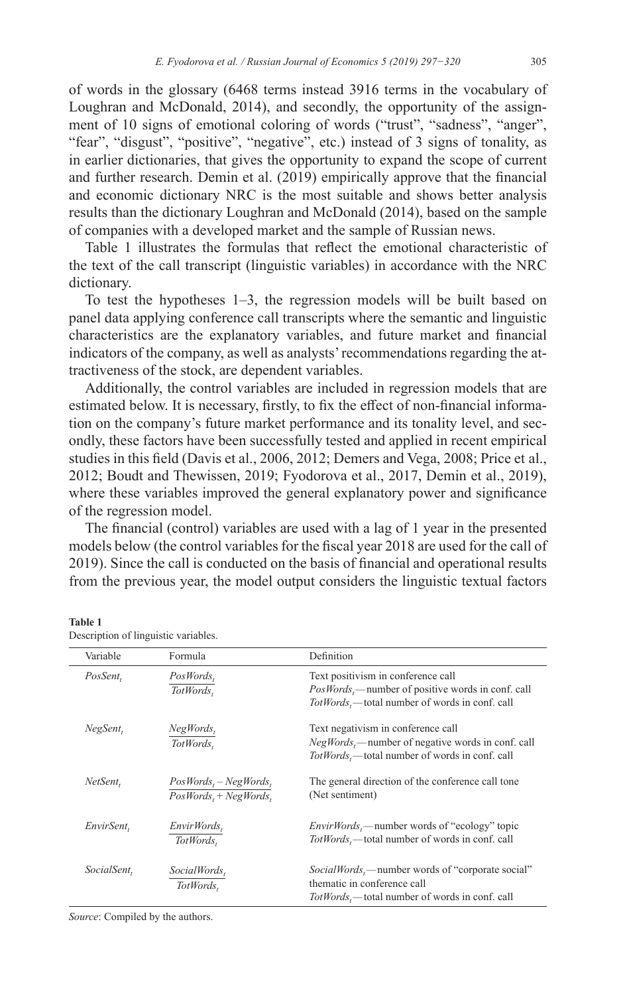of words in the glossary (6468 terms instead 3916 terms in the vocabulary of Loughran and McDonald, 2014), and secondly, the opportunity of the assignment of 10 signs of emotional coloring of words ("trust", "sadness", "anger", "fear", "disgust", "positive", "negative", etc.) instead of 3 signs of tonality, as in earlier dictionaries, that gives the opportunity to expand the scope of current and further research. Demin et al. (2019) empirically approve that the financial and economic dictionary NRC is the most suitable and shows better analysis results than the dictionary Loughran and McDonald (2014), based on the sample of companies with a developed market and the sample of Russian news.

Table 1 illustrates the formulas that reflect the emotional characteristic of the text of the call transcript (linguistic variables) in accordance with the NRC dictionary.

To test the hypotheses 1–3, the regression models will be built based on panel data applying conference call transcripts where the semantic and linguistic characteristics are the explanatory variables, and future market and financial indicators of the company, as well as analysts'recommendations regarding the attractiveness of the stock, are dependent variables.

Additionally, the control variables are included in regression models that are estimated below. It is necessary, firstly, to fix the effect of non-financial information on the company's future market performance and its tonality level, and secondly, these factors have been successfully tested and applied in recent empirical studies in this field (Davis et al., 2006, 2012; Demers and Vega, 2008; Price et al., 2012; Boudt and Thewissen, 2019; Fyodorova et al., 2017, Demin et al., 2019), where these variables improved the general explanatory power and significance of the regression model.

The financial (control) variables are used with a lag of 1 year in the presented models below (the control variables for the fiscal year 2018 are used for the call of 2019). Since the call is conducted on the basis of financial and operational results from the previous year, the model output considers the linguistic textual factors

| Description of linguistic variables. |                                                     |                                                                                                                                               |
|--------------------------------------|-----------------------------------------------------|-----------------------------------------------------------------------------------------------------------------------------------------------|
| Variable                             | Formula                                             | Definition                                                                                                                                    |
| PosSent,                             | $PosWords_t$<br>TotWords,                           | Text positivism in conference call<br>$PosWords_{t}$ —number of positive words in conf. call<br>TotWords,—total number of words in conf. call |
| NegSent,                             | $NegWords_t$<br>TotWords.                           | Text negativism in conference call<br>$NegWords$ , -- number of negative words in conf. call<br>TotWords,—total number of words in conf. call |
| NetSent,                             | $PosWords_t - NegWords_t$<br>$PosWords, +NegWords,$ | The general direction of the conference call tone<br>(Net sentiment)                                                                          |
| EnvirSent,                           | $EnvirWords_t$<br>TotWords.                         | <i>EnvirWords</i> ,—number words of "ecology" topic<br>$TotWords,$ —total number of words in conf. call                                       |
| SocialSent,                          | SocialWords,<br>TotWords.                           | <i>SocialWords</i> ,—number words of "corporate social"<br>thematic in conference call<br>$TotWords_{t}$ —total number of words in conf. call |

**Table 1** Description of linguistic variables.

*Source*: Compiled by the authors.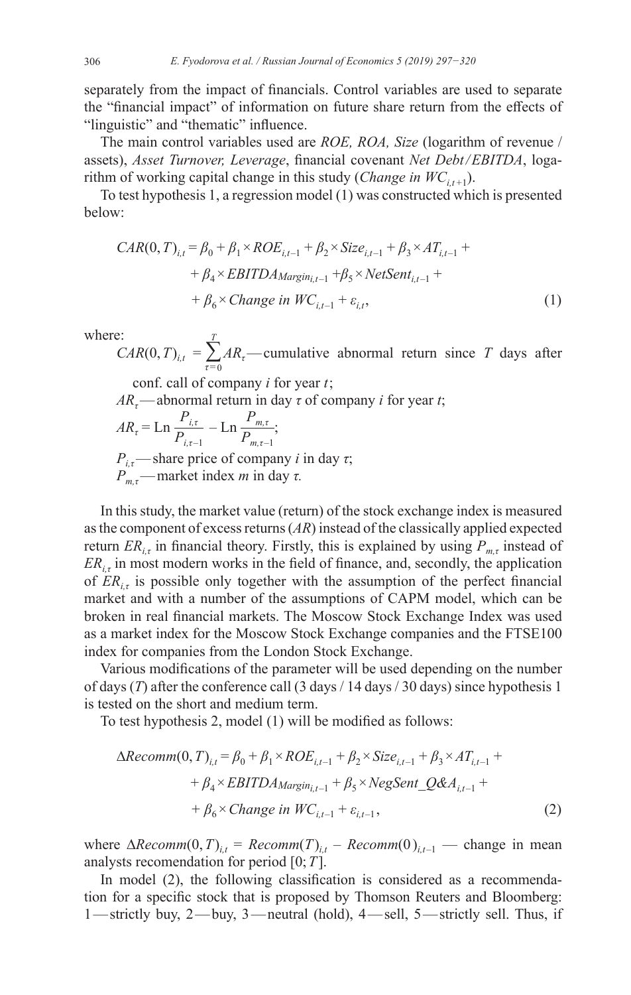separately from the impact of financials. Control variables are used to separate the "financial impact" of information on future share return from the effects of "linguistic" and "thematic" influence.

The main control variables used are *ROE, ROA, Size* (logarithm of revenue / assets), *Asset Turnover, Leverage*, financial covenant *Net Debt/EBITDA*, logarithm of working capital change in this study (*Change in*  $WC_{i,t+1}$ ).

To test hypothesis 1, a regression model (1) was constructed which is presented below:

$$
CAR(0, T)_{i,t} = \beta_0 + \beta_1 \times ROE_{i,t-1} + \beta_2 \times Size_{i,t-1} + \beta_3 \times AT_{i,t-1} +
$$
  
+  $\beta_4 \times EBITDAMargin_{i,t-1} + \beta_5 \times NetSent_{i,t-1} +$   
+  $\beta_6 \times Change in WC_{i,t-1} + \varepsilon_{i,t}$ , (1)

where:

 $CAR(0, T)_{i,t} = \sum_{\tau=0}$ *T ARτ*—cumulative abnormal return since *T* days after

conf. call of company *i* for year *t*;

 $AR_{\tau}$ —abnormal return in day  $\tau$  of company *i* for year *t*;

$$
AR_{\tau} = \text{Ln} \frac{P_{i,\tau}}{P_{i,\tau-1}} - \text{Ln} \frac{P_{m,\tau}}{P_{m,\tau-1}};
$$
  

$$
P_{i,\tau}
$$
—share price of company *i* in day  $\tau$ ;  

$$
P_{m,\tau}
$$
—market index *m* in day  $\tau$ .

In this study, the market value (return) of the stock exchange index is measured as the component of excess returns (*AR*) instead of the classically applied expected return  $ER_{i\tau}$  in financial theory. Firstly, this is explained by using  $P_{m\tau}$  instead of  $ER_{i,t}$  in most modern works in the field of finance, and, secondly, the application of *ER*<sub>it</sub> is possible only together with the assumption of the perfect financial market and with a number of the assumptions of CAPM model, which can be broken in real financial markets. The Moscow Stock Exchange Index was used as a market index for the Moscow Stock Exchange companies and the FTSE100 index for companies from the London Stock Exchange.

Various modifications of the parameter will be used depending on the number of days (*T*) after the conference call (3 days / 14 days / 30 days) since hypothesis 1 is tested on the short and medium term.

To test hypothesis 2, model (1) will be modified as follows:

$$
\Delta Recomm(0, T)i,t = \beta_0 + \beta_1 \times ROEi,t-1 + \beta_2 \times Sizei,t-1 + \beta_3 \times ATi,t-1 ++ \beta_4 \times EBITDAmargin,i-1 + \beta_5 \times NegSent_Q&Ai,t-1 ++ \beta_6 \times Change in WCi,t-1 + \varepsiloni,t-1,
$$
\n(2)

where  $\Delta Recomm(0, T)_{i,t}$  =  $Recomm(T)_{i,t}$  –  $Recomm(0)_{i,t-1}$  — change in mean analysts recomendation for period [0;*T*].

In model (2), the following classification is considered as a recommendation for a specific stock that is proposed by Thomson Reuters and Bloomberg: 1—strictly buy, 2—buy, 3—neutral (hold), 4—sell, 5—strictly sell. Thus, if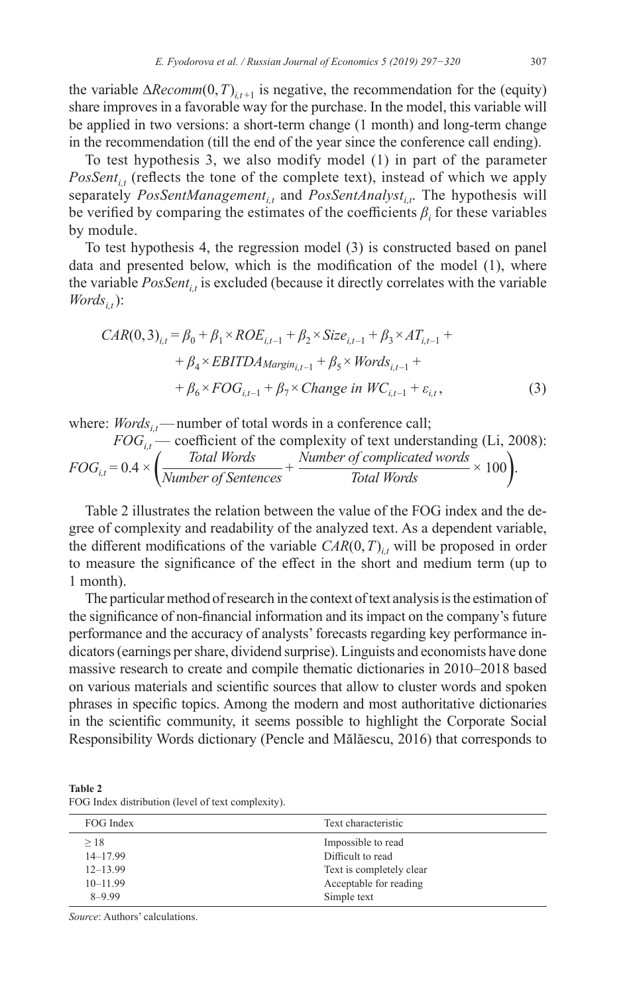the variable  $\Delta Recomm(0, T)_{i,t+1}$  is negative, the recommendation for the (equity) share improves in a favorable way for the purchase. In the model, this variable will be applied in two versions: a short-term change (1 month) and long-term change in the recommendation (till the end of the year since the conference call ending).

To test hypothesis 3, we also modify model (1) in part of the parameter  $PossSent_{i,t}$  (reflects the tone of the complete text), instead of which we apply separately *PosSentManagement<sub>it</sub>* and *PosSentAnalyst<sub>it</sub>*. The hypothesis will be verified by comparing the estimates of the coefficients  $\beta_i$  for these variables by module.

To test hypothesis 4, the regression model (3) is constructed based on panel data and presented below, which is the modification of the model (1), where the variable  $PosSent_{i,t}$  is excluded (because it directly correlates with the variable  $Words_{i}$ ):

$$
CAR(0,3)_{i,t} = \beta_0 + \beta_1 \times ROE_{i,t-1} + \beta_2 \times Size_{i,t-1} + \beta_3 \times AT_{i,t-1} +
$$
  
+  $\beta_4 \times EBITDAMargin_{i,t-1} + \beta_5 \times Words_{i,t-1} +$   
+  $\beta_6 \times FOG_{i,t-1} + \beta_7 \times Change\ in\ WC_{i,t-1} + \varepsilon_{i,t},$  (3)

where:  $Words_{it}$ —number of total words in a conference call;

$$
FOG_{i,t} - \text{coefficient of the complexity of text understanding (Li, 2008):}
$$
  

$$
FOG_{i,t} = 0.4 \times \left(\frac{Total Words}{Number of Sentences} + \frac{Number of complicated words}{Total Words} \times 100\right).
$$

Table 2 illustrates the relation between the value of the FOG index and the degree of complexity and readability of the analyzed text. As a dependent variable, the different modifications of the variable  $CAR(0, T)_{i,t}$  will be proposed in order to measure the significance of the effect in the short and medium term (up to 1 month).

The particular method of research in the context of text analysis is the estimation of the significance of non-financial information and its impact on the company's future performance and the accuracy of analysts' forecasts regarding key performance indicators (earnings per share, dividend surprise). Linguists and economists have done massive research to create and compile thematic dictionaries in 2010–2018 based on various materials and scientific sources that allow to cluster words and spoken phrases in specific topics. Among the modern and most authoritative dictionaries in the scientific community, it seems possible to highlight the Corporate Social Responsibility Words dictionary (Pencle and Mălăescu, 2016) that corresponds to

**Table 2** FOG Index distribution (level of text complexity).

| FOG Index    | Text characteristic      |
|--------------|--------------------------|
| >18          | Impossible to read       |
| $14 - 17.99$ | Difficult to read        |
| $12 - 13.99$ | Text is completely clear |
| $10 - 11.99$ | Acceptable for reading   |
| $8 - 9.99$   | Simple text              |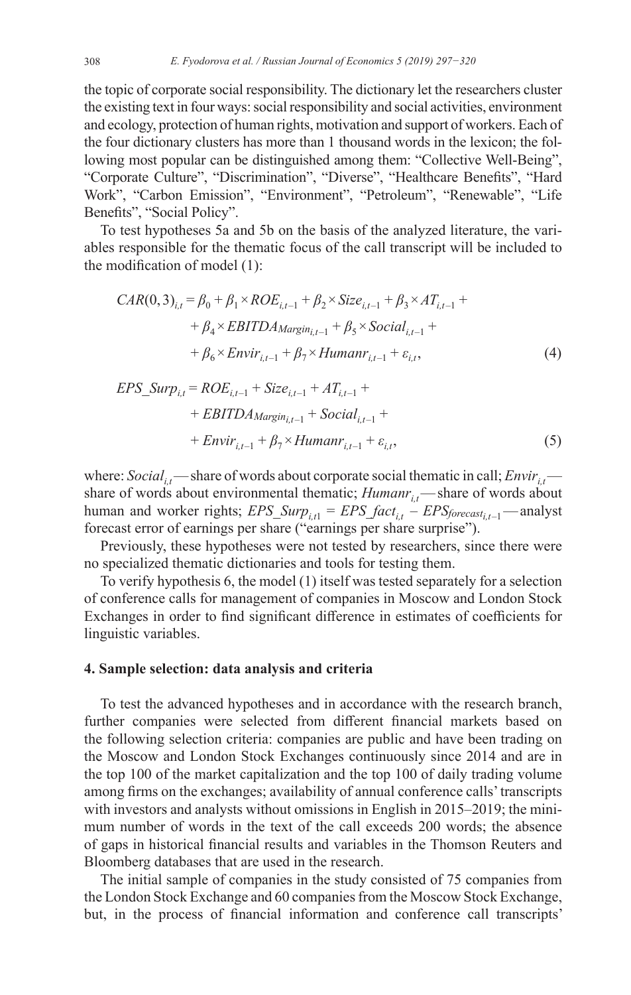the topic of corporate social responsibility. The dictionary let the researchers cluster the existing text in four ways: social responsibility and social activities, environment and ecology, protection of human rights, motivation and support of workers. Each of the four dictionary clusters has more than 1 thousand words in the lexicon; the following most popular can be distinguished among them: "Collective Well-Being", "Corporate Culture", "Discrimination", "Diverse", "Healthcare Benefits", "Hard Work", "Carbon Emission", "Environment", "Petroleum", "Renewable", "Life Benefits", "Social Policy".

To test hypotheses 5a and 5b on the basis of the analyzed literature, the variables responsible for the thematic focus of the call transcript will be included to the modification of model (1):

$$
CAR(0,3)_{i,t} = \beta_0 + \beta_1 \times ROE_{i,t-1} + \beta_2 \times Size_{i,t-1} + \beta_3 \times AT_{i,t-1} +
$$
  
+  $\beta_4 \times EBITDAMargin_{i,t-1} + \beta_5 \times Social_{i,t-1} +$   
+  $\beta_6 \times Envir_{i,t-1} + \beta_7 \times Humanr_{i,t-1} + \varepsilon_{i,t}$ , (4)

$$
EPS\_Surp_{i,t} = ROE_{i,t-1} + Size_{i,t-1} + AT_{i,t-1} +
$$
  
+ 
$$
EBITDA_{Margin_{i,t-1}} + Social_{i,t-1} +
$$
  
+ 
$$
Envir_{i,t-1} + \beta_7 \times Humanr_{i,t-1} + \varepsilon_{i,t},
$$
 (5)

where: *Social<sub>it</sub>*—share of words about corporate social thematic in call;  $Envir_i$  share of words about environmental thematic; *Humanr<sub>it</sub>*—share of words about human and worker rights; *EPS*  $Surp_{i,t} = EPS_{factor} + EPS_{forecast_{i,t-1}}$  – analyst forecast error of earnings per share ("earnings per share surprise").

Previously, these hypotheses were not tested by researchers, since there were no specialized thematic dictionaries and tools for testing them.

To verify hypothesis 6, the model (1) itself was tested separately for a selection of conference calls for management of companies in Moscow and London Stock Exchanges in order to find significant difference in estimates of coefficients for linguistic variables.

## **4. Sample selection: data analysis and criteria**

To test the advanced hypotheses and in accordance with the research branch, further companies were selected from different financial markets based on the following selection criteria: companies are public and have been trading on the Moscow and London Stock Exchanges continuously since 2014 and are in the top 100 of the market capitalization and the top 100 of daily trading volume among firms on the exchanges; availability of annual conference calls'transcripts with investors and analysts without omissions in English in 2015–2019; the minimum number of words in the text of the call exceeds 200 words; the absence of gaps in historical financial results and variables in the Thomson Reuters and Bloomberg databases that are used in the research.

The initial sample of companies in the study consisted of 75 companies from the London Stock Exchange and 60 companies from the Moscow Stock Exchange, but, in the process of financial information and conference call transcripts'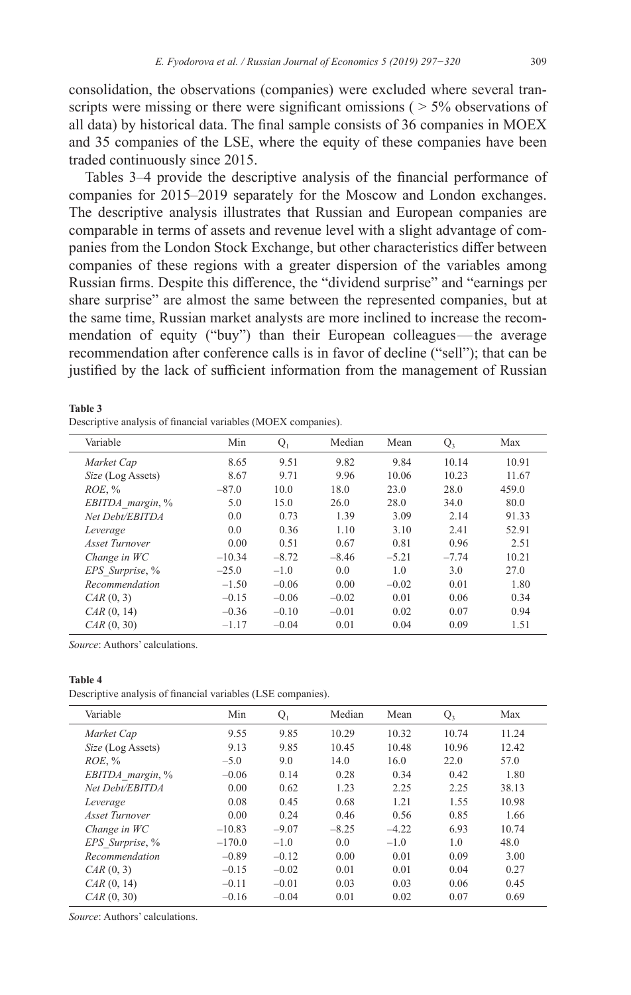consolidation, the observations (companies) were excluded where several transcripts were missing or there were significant omissions  $($  > 5% observations of all data) by historical data. The final sample consists of 36 companies in MOEX and 35 companies of the LSE, where the equity of these companies have been traded continuously since 2015.

Tables 3–4 provide the descriptive analysis of the financial performance of companies for 2015–2019 separately for the Moscow and London exchanges. The descriptive analysis illustrates that Russian and European companies are comparable in terms of assets and revenue level with a slight advantage of companies from the London Stock Exchange, but other characteristics differ between companies of these regions with a greater dispersion of the variables among Russian firms. Despite this difference, the "dividend surprise" and "earnings per share surprise" are almost the same between the represented companies, but at the same time, Russian market analysts are more inclined to increase the recommendation of equity ("buy") than their European colleagues—the average recommendation after conference calls is in favor of decline ("sell"); that can be justified by the lack of sufficient information from the management of Russian

| Table 3                                                       |  |  |
|---------------------------------------------------------------|--|--|
| Descriptive analysis of financial variables (MOEX companies). |  |  |

| Variable          | Min      | $Q_1$   | Median  | Mean    | $Q_3$   | Max   |
|-------------------|----------|---------|---------|---------|---------|-------|
| Market Cap        | 8.65     | 9.51    | 9.82    | 9.84    | 10.14   | 10.91 |
| Size (Log Assets) | 8.67     | 9.71    | 9.96    | 10.06   | 10.23   | 11.67 |
| ROE, %            | $-87.0$  | 10.0    | 18.0    | 23.0    | 28.0    | 459.0 |
| EBITDA margin, %  | 5.0      | 15.0    | 26.0    | 28.0    | 34.0    | 80.0  |
| Net Debt/EBITDA   | 0.0      | 0.73    | 1.39    | 3.09    | 2.14    | 91.33 |
| Leverage          | 0.0      | 0.36    | 1.10    | 3.10    | 2.41    | 52.91 |
| Asset Turnover    | 0.00     | 0.51    | 0.67    | 0.81    | 0.96    | 2.51  |
| Change in WC      | $-10.34$ | $-8.72$ | $-8.46$ | $-5.21$ | $-7.74$ | 10.21 |
| EPS Surprise, %   | $-25.0$  | $-1.0$  | 0.0     | 1.0     | 3.0     | 27.0  |
| Recommendation    | $-1.50$  | $-0.06$ | 0.00    | $-0.02$ | 0.01    | 1.80  |
| $CAR$ $(0, 3)$    | $-0.15$  | $-0.06$ | $-0.02$ | 0.01    | 0.06    | 0.34  |
| CAR (0, 14)       | $-0.36$  | $-0.10$ | $-0.01$ | 0.02    | 0.07    | 0.94  |
| CAR (0, 30)       | $-1.17$  | $-0.04$ | 0.01    | 0.04    | 0.09    | 1.51  |

*Source*: Authors' calculations.

#### **Table 4**

Descriptive analysis of financial variables (LSE companies).

| Variable                 | Min      | $Q_1$   | Median  | Mean    | $Q_3$ | Max   |
|--------------------------|----------|---------|---------|---------|-------|-------|
| Market Cap               | 9.55     | 9.85    | 10.29   | 10.32   | 10.74 | 11.24 |
| <i>Size</i> (Log Assets) | 9.13     | 9.85    | 10.45   | 10.48   | 10.96 | 12.42 |
| ROE, %                   | $-5.0$   | 9.0     | 14.0    | 16.0    | 22.0  | 57.0  |
| EBITDA margin, %         | $-0.06$  | 0.14    | 0.28    | 0.34    | 0.42  | 1.80  |
| Net Debt/EBITDA          | 0.00     | 0.62    | 1.23    | 2.25    | 2.25  | 38.13 |
| Leverage                 | 0.08     | 0.45    | 0.68    | 1.21    | 1.55  | 10.98 |
| Asset Turnover           | 0.00     | 0.24    | 0.46    | 0.56    | 0.85  | 1.66  |
| Change in WC             | $-10.83$ | $-9.07$ | $-8.25$ | $-4.22$ | 6.93  | 10.74 |
| EPS Surprise, %          | $-170.0$ | $-1.0$  | 0.0     | $-1.0$  | 1.0   | 48.0  |
| Recommendation           | $-0.89$  | $-0.12$ | 0.00    | 0.01    | 0.09  | 3.00  |
| $CAR$ $(0, 3)$           | $-0.15$  | $-0.02$ | 0.01    | 0.01    | 0.04  | 0.27  |
| CAR (0, 14)              | $-0.11$  | $-0.01$ | 0.03    | 0.03    | 0.06  | 0.45  |
| CAR (0, 30)              | $-0.16$  | $-0.04$ | 0.01    | 0.02    | 0.07  | 0.69  |
|                          |          |         |         |         |       |       |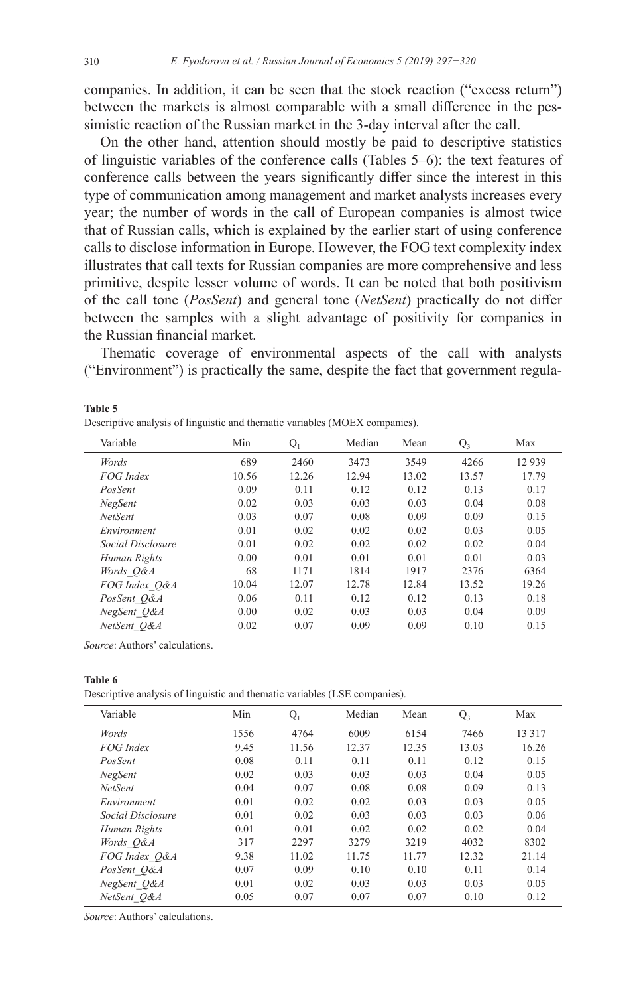companies. In addition, it can be seen that the stock reaction ("excess return") between the markets is almost comparable with a small difference in the pessimistic reaction of the Russian market in the 3-day interval after the call.

On the other hand, attention should mostly be paid to descriptive statistics of linguistic variables of the conference calls (Tables 5–6): the text features of conference calls between the years significantly differ since the interest in this type of communication among management and market analysts increases every year; the number of words in the call of European companies is almost twice that of Russian calls, which is explained by the earlier start of using conference calls to disclose information in Europe. However, the FOG text complexity index illustrates that call texts for Russian companies are more comprehensive and less primitive, despite lesser volume of words. It can be noted that both positivism of the call tone (*PosSent*) and general tone (*NetSent*) practically do not differ between the samples with a slight advantage of positivity for companies in the Russian financial market.

Thematic coverage of environmental aspects of the call with analysts ("Environment") is practically the same, despite the fact that government regula-

| Variable          | Min   | $Q_1$ | Median | Mean  | $Q_3$ | Max   |
|-------------------|-------|-------|--------|-------|-------|-------|
| Words             | 689   | 2460  | 3473   | 3549  | 4266  | 12939 |
| FOG Index         | 10.56 | 12.26 | 12.94  | 13.02 | 13.57 | 17.79 |
| PosSent           | 0.09  | 0.11  | 0.12   | 0.12  | 0.13  | 0.17  |
| <b>NegSent</b>    | 0.02  | 0.03  | 0.03   | 0.03  | 0.04  | 0.08  |
| NetSent           | 0.03  | 0.07  | 0.08   | 0.09  | 0.09  | 0.15  |
| Environment       | 0.01  | 0.02  | 0.02   | 0.02  | 0.03  | 0.05  |
| Social Disclosure | 0.01  | 0.02  | 0.02   | 0.02  | 0.02  | 0.04  |
| Human Rights      | 0.00  | 0.01  | 0.01   | 0.01  | 0.01  | 0.03  |
| Words O&A         | 68    | 1171  | 1814   | 1917  | 2376  | 6364  |
| FOG Index Q&A     | 10.04 | 12.07 | 12.78  | 12.84 | 13.52 | 19.26 |
| PosSent O&A       | 0.06  | 0.11  | 0.12   | 0.12  | 0.13  | 0.18  |
| NegSent O&A       | 0.00  | 0.02  | 0.03   | 0.03  | 0.04  | 0.09  |
| NetSent O&A       | 0.02  | 0.07  | 0.09   | 0.09  | 0.10  | 0.15  |

#### **Table 5**

*Source*: Authors' calculations.

#### **Table 6**

Descriptive analysis of linguistic and thematic variables (LSE companies).

| Variable          | Min  | $Q_1$ | Median | Mean  | $Q_3$ | Max     |
|-------------------|------|-------|--------|-------|-------|---------|
| Words             | 1556 | 4764  | 6009   | 6154  | 7466  | 13 3 17 |
| FOG Index         | 9.45 | 11.56 | 12.37  | 12.35 | 13.03 | 16.26   |
| PosSent           | 0.08 | 0.11  | 0.11   | 0.11  | 0.12  | 0.15    |
| <b>NegSent</b>    | 0.02 | 0.03  | 0.03   | 0.03  | 0.04  | 0.05    |
| <b>NetSent</b>    | 0.04 | 0.07  | 0.08   | 0.08  | 0.09  | 0.13    |
| Environment       | 0.01 | 0.02  | 0.02   | 0.03  | 0.03  | 0.05    |
| Social Disclosure | 0.01 | 0.02  | 0.03   | 0.03  | 0.03  | 0.06    |
| Human Rights      | 0.01 | 0.01  | 0.02   | 0.02  | 0.02  | 0.04    |
| Words O&A         | 317  | 2297  | 3279   | 3219  | 4032  | 8302    |
| FOG Index O&A     | 9.38 | 11.02 | 11.75  | 11.77 | 12.32 | 21.14   |
| PosSent O&A       | 0.07 | 0.09  | 0.10   | 0.10  | 0.11  | 0.14    |
| NegSent Q&A       | 0.01 | 0.02  | 0.03   | 0.03  | 0.03  | 0.05    |
| NetSent O&A       | 0.05 | 0.07  | 0.07   | 0.07  | 0.10  | 0.12    |
|                   |      |       |        |       |       |         |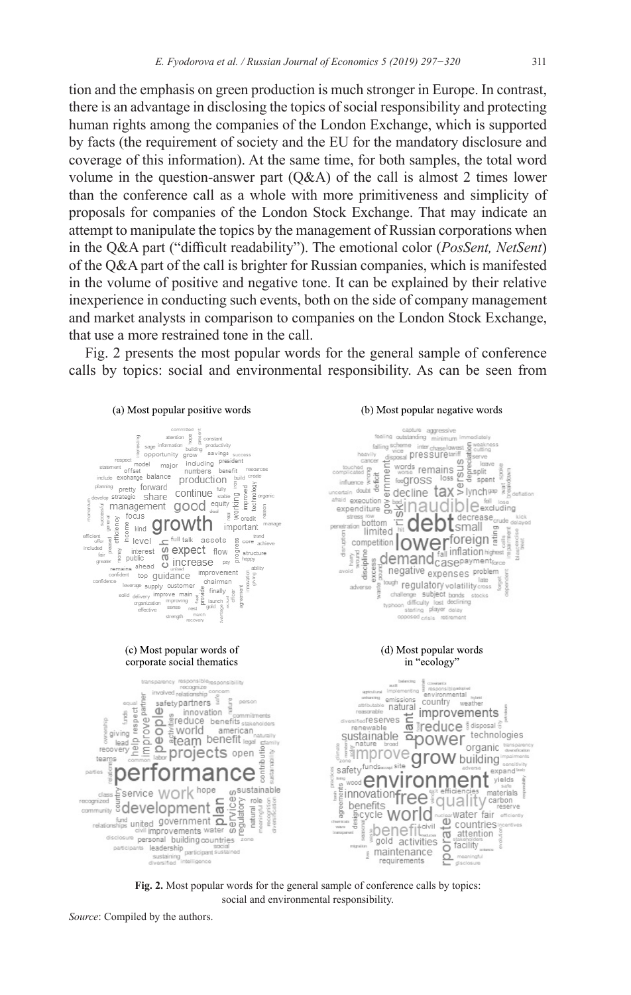tion and the emphasis on green production is much stronger in Europe. In contrast, there is an advantage in disclosing the topics of social responsibility and protecting human rights among the companies of the London Exchange, which is supported by facts (the requirement of society and the EU for the mandatory disclosure and coverage of this information). At the same time, for both samples, the total word volume in the question-answer part (Q&A) of the call is almost 2 times lower than the conference call as a whole with more primitiveness and simplicity of proposals for companies of the London Stock Exchange. That may indicate an attempt to manipulate the topics by the management of Russian corporations when in the Q&A part ("difficult readability"). The emotional color (*PosSent, NetSent*) of the Q&A part of the call is brighter for Russian companies, which is manifested in the volume of positive and negative tone. It can be explained by their relative inexperience in conducting such events, both on the side of company management and market analysts in comparison to companies on the London Stock Exchange, that use a more restrained tone in the call.

Fig. 2 presents the most popular words for the general sample of conference calls by topics: social and environmental responsibility. As can be seen from



**Fig. 2.** Most popular words for the general sample of conference calls by topics: social and environmental responsibility.

*Source*: Compiled by the authors.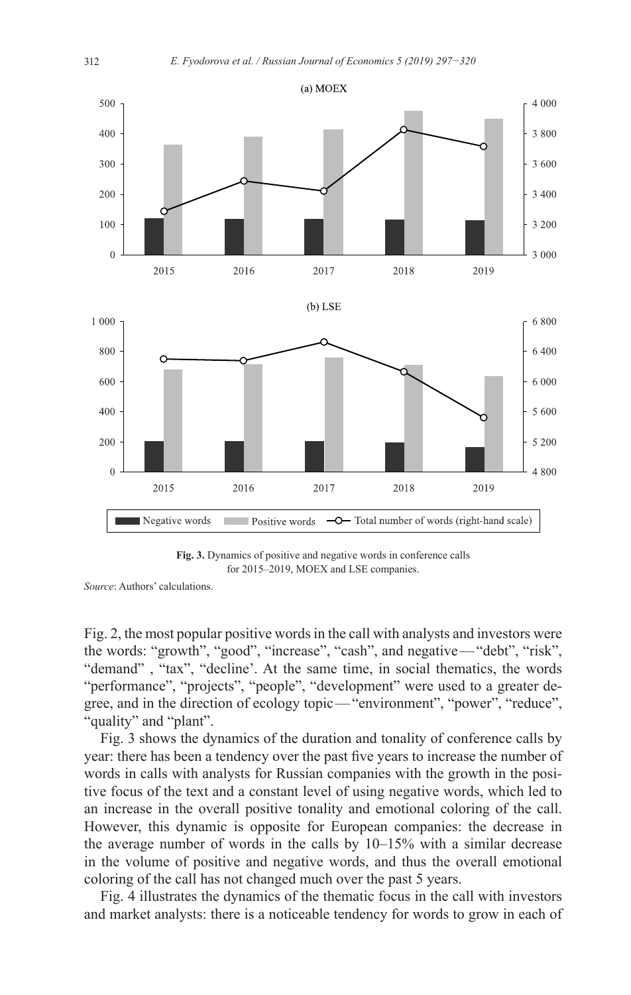

**Fig. 3.** Dynamics of positive and negative words in conference calls for 2015–2019, MOEX and LSE companies.

Fig. 2, the most popular positive words in the call with analysts and investors were the words: "growth", "good", "increase", "cash", and negative—"debt", "risk", "demand" , "tax", "decline'. At the same time, in social thematics, the words "performance", "projects", "people", "development" were used to a greater degree, and in the direction of ecology topic—"environment", "power", "reduce", "quality" and "plant".

Fig. 3 shows the dynamics of the duration and tonality of conference calls by year: there has been a tendency over the past five years to increase the number of words in calls with analysts for Russian companies with the growth in the positive focus of the text and a constant level of using negative words, which led to an increase in the overall positive tonality and emotional coloring of the call. However, this dynamic is opposite for European companies: the decrease in the average number of words in the calls by 10–15% with a similar decrease in the volume of positive and negative words, and thus the overall emotional coloring of the call has not changed much over the past 5 years.

Fig. 4 illustrates the dynamics of the thematic focus in the call with investors and market analysts: there is a noticeable tendency for words to grow in each of

*Source*: Authors' calculations.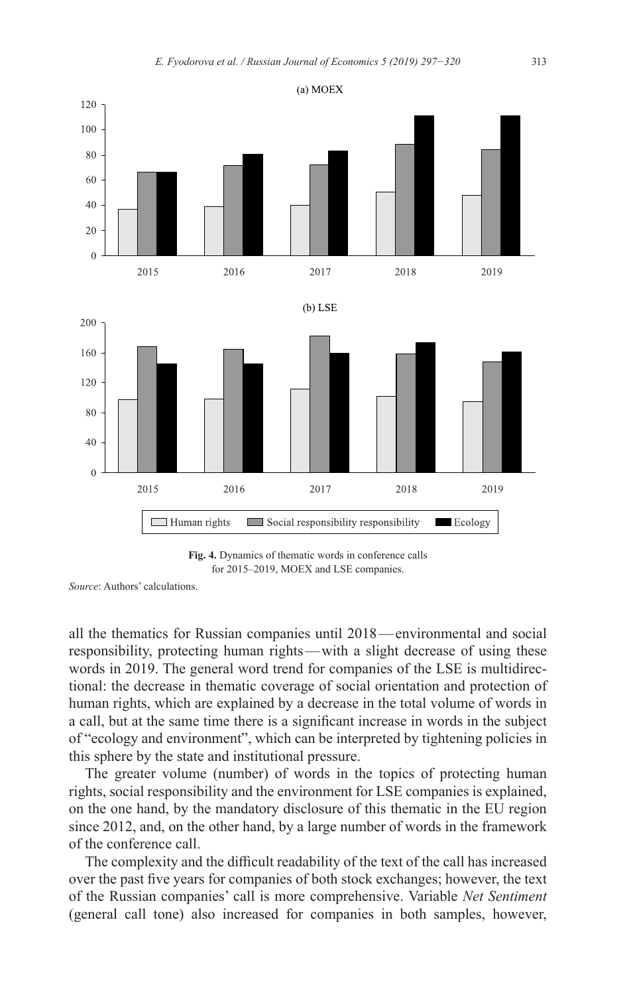

**Fig. 4.** Dynamics of thematic words in conference calls for 2015–2019, MOEX and LSE companies.

*Source*: Authors' calculations.

all the thematics for Russian companies until 2018—environmental and social responsibility, protecting human rights—with a slight decrease of using these words in 2019. The general word trend for companies of the LSE is multidirectional: the decrease in thematic coverage of social orientation and protection of human rights, which are explained by a decrease in the total volume of words in a call, but at the same time there is a significant increase in words in the subject of "ecology and environment", which can be interpreted by tightening policies in this sphere by the state and institutional pressure.

The greater volume (number) of words in the topics of protecting human rights, social responsibility and the environment for LSE companies is explained, on the one hand, by the mandatory disclosure of this thematic in the EU region since 2012, and, on the other hand, by a large number of words in the framework of the conference call.

The complexity and the difficult readability of the text of the call has increased over the past five years for companies of both stock exchanges; however, the text of the Russian companies' call is more comprehensive. Variable *Net Sentiment* (general call tone) also increased for companies in both samples, however,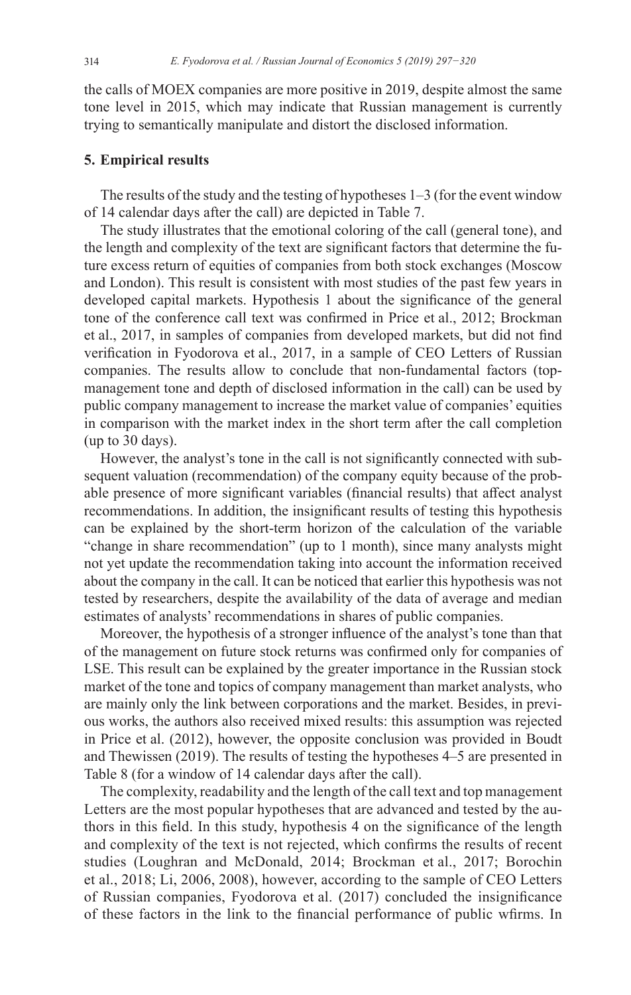the calls of MOEX companies are more positive in 2019, despite almost the same tone level in 2015, which may indicate that Russian management is currently trying to semantically manipulate and distort the disclosed information.

## **5. Empirical results**

The results of the study and the testing of hypotheses 1–3 (for the event window of 14 calendar days after the call) are depicted in Table 7.

The study illustrates that the emotional coloring of the call (general tone), and the length and complexity of the text are significant factors that determine the future excess return of equities of companies from both stock exchanges (Moscow and London). This result is consistent with most studies of the past few years in developed capital markets. Hypothesis 1 about the significance of the general tone of the conference call text was confirmed in Price et al., 2012; Brockman et al., 2017, in samples of companies from developed markets, but did not find verification in Fyodorova et al., 2017, in a sample of CEO Letters of Russian companies. The results allow to conclude that non-fundamental factors (topmanagement tone and depth of disclosed information in the call) can be used by public company management to increase the market value of companies' equities in comparison with the market index in the short term after the call completion (up to 30 days).

However, the analyst's tone in the call is not significantly connected with subsequent valuation (recommendation) of the company equity because of the probable presence of more significant variables (financial results) that affect analyst recommendations. In addition, the insignificant results of testing this hypothesis can be explained by the short-term horizon of the calculation of the variable "change in share recommendation" (up to 1 month), since many analysts might not yet update the recommendation taking into account the information received about the company in the call. It can be noticed that earlier this hypothesis was not tested by researchers, despite the availability of the data of average and median estimates of analysts' recommendations in shares of public companies.

Moreover, the hypothesis of a stronger influence of the analyst's tone than that of the management on future stock returns was confirmed only for companies of LSE. This result can be explained by the greater importance in the Russian stock market of the tone and topics of company management than market analysts, who are mainly only the link between corporations and the market. Besides, in previous works, the authors also received mixed results: this assumption was rejected in Price et al. (2012), however, the opposite conclusion was provided in Boudt and Thewissen (2019). The results of testing the hypotheses 4–5 are presented in Table 8 (for a window of 14 calendar days after the call).

The complexity, readability and the length of the call text and top management Letters are the most popular hypotheses that are advanced and tested by the authors in this field. In this study, hypothesis 4 on the significance of the length and complexity of the text is not rejected, which confirms the results of recent studies (Loughran and McDonald, 2014; Brockman et al., 2017; Borochin et al., 2018; Li, 2006, 2008), however, according to the sample of CEO Letters of Russian companies, Fyodorova et al. (2017) concluded the insignificance of these factors in the link to the financial performance of public wfirms. In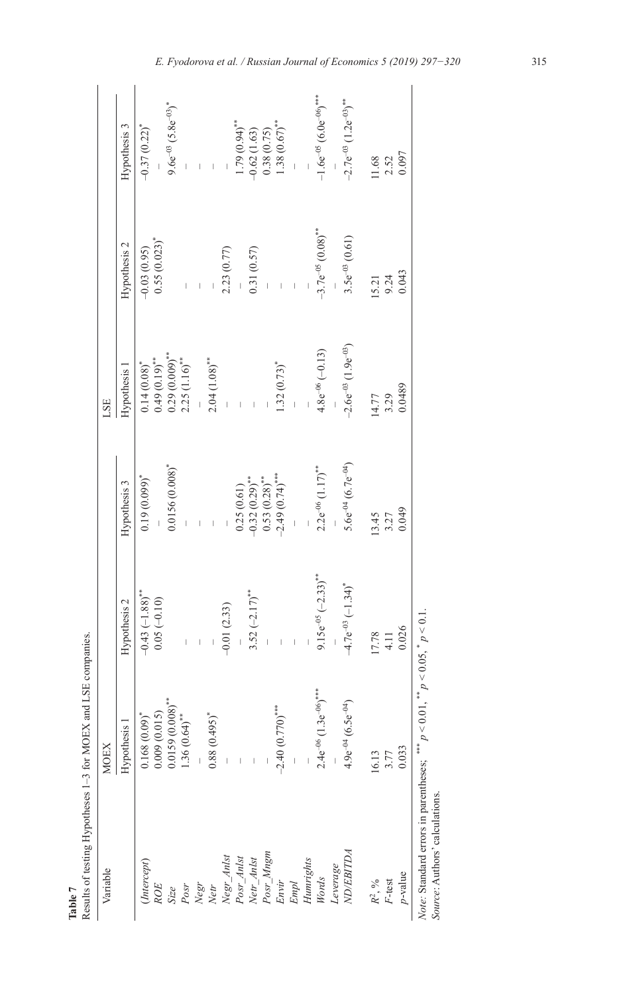| Variable                 | <b>MOEX</b>                                   |                                               |                                                             | LSE                                                      |                                                             |                                                      |
|--------------------------|-----------------------------------------------|-----------------------------------------------|-------------------------------------------------------------|----------------------------------------------------------|-------------------------------------------------------------|------------------------------------------------------|
|                          | Hypothesis 1                                  | Hypothesis 2                                  | Hypothesis 3                                                | Hypothesis 1                                             | Hypothesis 2                                                | Hypothesis 3                                         |
| [Intercept]              | $0.168(0.09)^*$                               |                                               | $0.19(0.099)^{*}$                                           | $0.14(0.08)*$                                            | $-0.03(0.95)$                                               | $-0.37(0.22)^*$                                      |
| ROE                      | 0.009(0.015)                                  | $-0.43 (-1.88)$ <sup>**</sup><br>0.05 (-0.10) |                                                             |                                                          | $0.55(0.023)^*$                                             |                                                      |
| Size                     | $0.0159(0.008)$ **                            |                                               | $0.0156(0.008)^*$                                           |                                                          |                                                             | $9.6e^{-03}(5.8e^{-03})$ <sup>*</sup>                |
| Posr                     | $1.36(0.64)$ **                               |                                               |                                                             | $0.49(0.19)$ **<br>0.29 $(0.009)$ **<br>2.25 $(1.16)$ ** | $\begin{array}{c} \begin{array}{c} \end{array} \end{array}$ |                                                      |
|                          |                                               |                                               | $\begin{array}{c} \begin{array}{c} \end{array} \end{array}$ |                                                          |                                                             | $\bar{\bar{1}}$                                      |
| Negr<br>Netr             | $0.88(0.495)^*$                               |                                               | $\bar{\bar{1}}$                                             | $2.04(1.08)$ **                                          |                                                             | $\mathbf{L}$                                         |
|                          |                                               | $-0.01(2.33)$                                 |                                                             |                                                          | 2.23(0.77)                                                  |                                                      |
| Negr_Anlst<br>Posr_Anlst |                                               |                                               |                                                             |                                                          |                                                             |                                                      |
| Netr_Anlst               |                                               | $3.52 (-2.17)$ **                             | $0.25(0.61)$<br>-0.32 $(0.29)$ <sup>**</sup>                | $\frac{1}{2}$                                            | 0.31(0.57)                                                  | $1.79(0.94)$ **<br>-0.62 (1.63)                      |
| Posr_Mngm                |                                               |                                               |                                                             |                                                          | $\bar{1}$                                                   | 0.38(0.75)                                           |
| Envir                    | $-2.40(0.770)$ ***                            |                                               | $0.53(0.28)$ **<br>-2.49 $(0.74)$ ****                      | $1.32(0.73)^*$                                           |                                                             | $1.38(0.67)$ **                                      |
| $Empl$                   |                                               |                                               | $\bar{1}$                                                   | $\bar{1}$                                                | $\bar{\phantom{a}}$                                         | $\bar{1}$                                            |
| Humrights                |                                               |                                               |                                                             |                                                          |                                                             |                                                      |
| Words                    | $2.4e^{-06}$ (1.3 $e^{-06}$ ) <sup>****</sup> | $9.15e^{-0.5} (-2.33)^{**}$                   | $2.2e^{-0.6} (1.17)^{**}$                                   | $4.8e^{-06}(-0.13)$                                      | $-3.7e^{-0.5}(0.08)$ **                                     | $-1.6e^{-0.5}$ (6.0e <sup>-06</sup> ) <sup>***</sup> |
| Leverage                 |                                               |                                               |                                                             |                                                          |                                                             |                                                      |
| <b>ND/EBITDA</b>         | $4.9e^{-04}(6.5e^{-04})$                      | $-4.7e^{-03} (-1.34)^*$                       | $5.6e^{-0.4}$ (6.7e <sup>-04</sup> )                        | $-2.6e^{-03}$ (1.9 $e^{-03}$ )                           | $3.5e^{-03}$ (0.61)                                         | $-2.7e^{-03}$ (1.2 $e^{-03}$ ) <sup>**</sup>         |
| $R^2, \, \%$             | 16.13                                         | 17.78                                         | 13.45                                                       | 14.77                                                    | 15.21                                                       | 11.68                                                |
| F-test                   | 3.77                                          | 4.11                                          | 3.27                                                        | 3.29                                                     | 9.24                                                        | 2.52                                                 |
| $p$ -value               | 0.033                                         | 0.026                                         | 0.049                                                       | 0.0489                                                   | 0.043                                                       | 0.097                                                |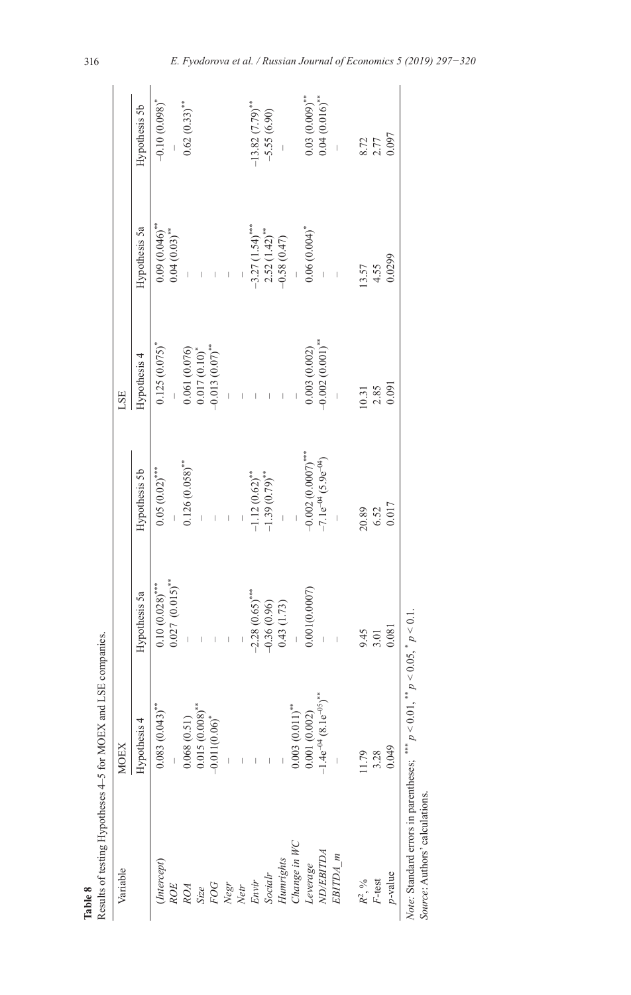| Table 8                        | Results of testing Hypotheses 4-5 for MOEX and LSE                                          | companies.                     |                                       |                     |                                    |                       |
|--------------------------------|---------------------------------------------------------------------------------------------|--------------------------------|---------------------------------------|---------------------|------------------------------------|-----------------------|
| Variable                       | <b>MOEX</b>                                                                                 |                                |                                       | LSE                 |                                    |                       |
|                                | Hypothesis 4                                                                                | Hypothesis 5a                  | Hypothesis 5b                         | Hypothesis 4        | Hypothesis 5a                      | Hypothesis 5b         |
| (Intercept)                    | $0.083(0.043)$ **                                                                           | $0.10(0.028)$ ***              | $0.05(0.02)$ ***                      | $0.125(0.075)^*$    | $0.09(0.046)$ **                   | $-0.10(0.098)^*$      |
| <b>ROE</b>                     |                                                                                             | $0.027 (0.015)$ **             |                                       |                     | $0.04(0.03)$ **                    |                       |
| ROA                            | 0.068(0.51)                                                                                 |                                | $0.126(0.058)$ **                     | 0.061(0.076)        |                                    | $0.62(0.33)$ **       |
| Size                           | $0.015(0.008)$ **                                                                           |                                |                                       | $0.017(0.10)^*$     |                                    |                       |
|                                | $-0.011(0.06)$ <sup>*</sup>                                                                 | $\bar{\phantom{a}}$ )          | $\overline{\phantom{a}}$              | $0.013(0.07)$ **    | $\bar{\mathbf{r}}$                 |                       |
| FOG<br>Negr<br>Netr            |                                                                                             | $\bar{\phantom{a}}$            | $\frac{1}{2}$                         |                     | $\frac{1}{\sqrt{2}}$               |                       |
|                                |                                                                                             |                                |                                       | $\frac{1}{2}$       |                                    |                       |
| Envir                          |                                                                                             | $-2.28(0.65)$ ***              |                                       |                     |                                    | $-13.82(7.79)$ **     |
| <b>Socialr</b>                 |                                                                                             |                                | $-1.12(0.62)$ **<br>-1.39 $(0.79)$ ** | $\bar{\phantom{a}}$ | $-3.27$ (1.54)***<br>2.52 (1.42)** | $-5.55(6.90)$         |
| Hunrights                      |                                                                                             | $-0.36(0.96)$<br>0.43 $(1.73)$ |                                       | $\frac{1}{2}$       | $-0.58(0.47)$                      |                       |
| Change in WC                   | $0.003(0.011)$ **                                                                           |                                |                                       |                     |                                    |                       |
| Leverage                       | 0.001(0.002)                                                                                | 0.001(0.0007)                  | $-0.002(0.0007)$ ***                  | 0.003(0.002)        | $0.06(0.004)^*$                    | $0.03(0.009)$ **      |
| ND/EBITDA                      | $-1.4e^{-04}$ (8.1e <sup>-05</sup> ) <sup>**</sup>                                          |                                | $-7.1e^{-04}(5.9e^{-04})$             | $0.002(0.001)^{**}$ |                                    | $0.04(0.016)$ **      |
| EBITDA_m                       |                                                                                             |                                |                                       |                     | $\bar{1}$                          |                       |
| $R^2,\, \%$                    | 11.79                                                                                       |                                | 20.89                                 | 10.31               | 13.57                              |                       |
| F-test                         | 3.28                                                                                        | 9.45<br>3.01                   | 6.52                                  | 2.85                | 4.55                               | 8.72<br>2.77<br>0.097 |
| $p$ -value                     | 0.049                                                                                       | 0.081                          | 0.017                                 | 0.091               | 0.0299                             |                       |
| Source: Authors' calculations. | <i>Note:</i> Standard errors in parentheses; *** $p < 0.01$ , ** $p < 0.05$ , * $p < 0.1$ . |                                |                                       |                     |                                    |                       |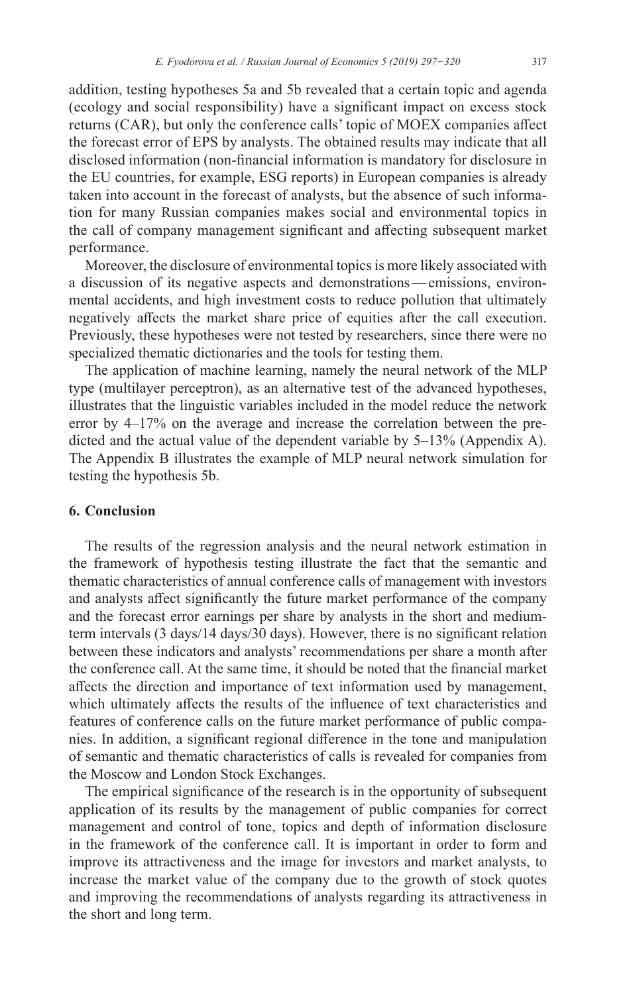addition, testing hypotheses 5a and 5b revealed that a certain topic and agenda (ecology and social responsibility) have a significant impact on excess stock returns (CAR), but only the conference calls' topic of MOEX companies affect the forecast error of EPS by analysts. The obtained results may indicate that all disclosed information (non-financial information is mandatory for disclosure in the EU countries, for example, ESG reports) in European companies is already taken into account in the forecast of analysts, but the absence of such information for many Russian companies makes social and environmental topics in the call of company management significant and affecting subsequent market performance.

Moreover, the disclosure of environmental topics is more likely associated with a discussion of its negative aspects and demonstrations—emissions, environmental accidents, and high investment costs to reduce pollution that ultimately negatively affects the market share price of equities after the call execution. Previously, these hypotheses were not tested by researchers, since there were no specialized thematic dictionaries and the tools for testing them.

The application of machine learning, namely the neural network of the MLP type (multilayer perceptron), as an alternative test of the advanced hypotheses, illustrates that the linguistic variables included in the model reduce the network error by 4–17% on the average and increase the correlation between the predicted and the actual value of the dependent variable by 5–13% (Appendix A). The Appendix B illustrates the example of MLP neural network simulation for testing the hypothesis 5b.

# **6. Conclusion**

The results of the regression analysis and the neural network estimation in the framework of hypothesis testing illustrate the fact that the semantic and thematic characteristics of annual conference calls of management with investors and analysts affect significantly the future market performance of the company and the forecast error earnings per share by analysts in the short and mediumterm intervals (3 days/14 days/30 days). However, there is no significant relation between these indicators and analysts' recommendations per share a month after the conference call. At the same time, it should be noted that the financial market affects the direction and importance of text information used by management, which ultimately affects the results of the influence of text characteristics and features of conference calls on the future market performance of public companies. In addition, a significant regional difference in the tone and manipulation of semantic and thematic characteristics of calls is revealed for companies from the Moscow and London Stock Exchanges.

The empirical significance of the research is in the opportunity of subsequent application of its results by the management of public companies for correct management and control of tone, topics and depth of information disclosure in the framework of the conference call. It is important in order to form and improve its attractiveness and the image for investors and market analysts, to increase the market value of the company due to the growth of stock quotes and improving the recommendations of analysts regarding its attractiveness in the short and long term.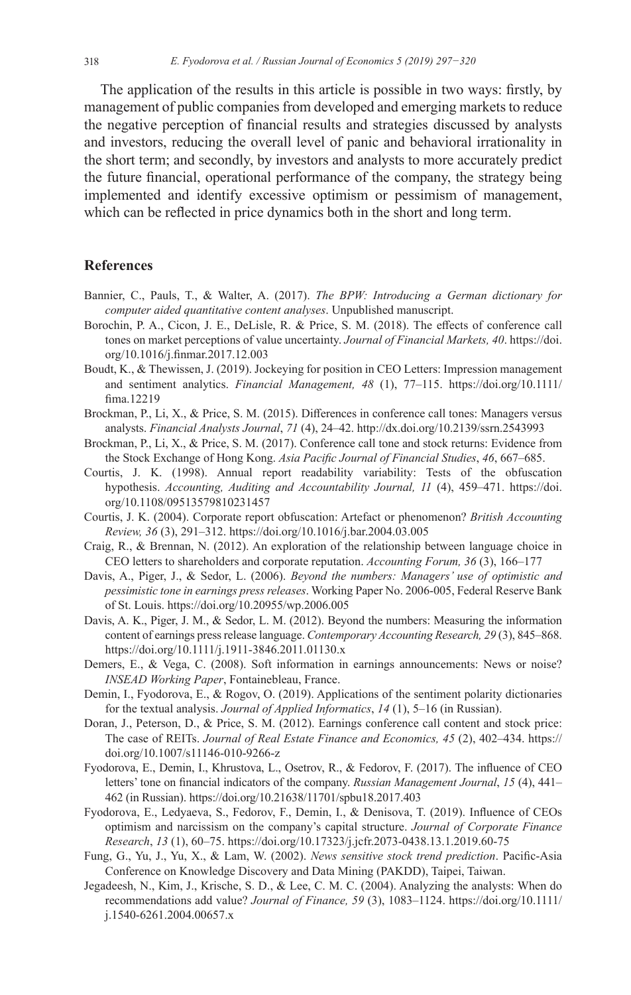The application of the results in this article is possible in two ways: firstly, by management of public companies from developed and emerging markets to reduce the negative perception of financial results and strategies discussed by analysts and investors, reducing the overall level of panic and behavioral irrationality in the short term; and secondly, by investors and analysts to more accurately predict the future financial, operational performance of the company, the strategy being implemented and identify excessive optimism or pessimism of management, which can be reflected in price dynamics both in the short and long term.

## **References**

- Bannier, C., Pauls, T., & Walter, A. (2017). *The BPW: Introducing a German dictionary for computer aided quantitative content analyses*. Unpublished manuscript.
- Borochin, P. A., Cicon, J. E., DeLisle, R. & Price, S. M. (2018). The effects of conference call tones on market perceptions of value uncertainty. *Journal of Financial Markets, 40*. [https://doi.](https://doi.org/10.1016/j.finmar.2017.12.003) [org/10.1016/j.finmar.2017.12.003](https://doi.org/10.1016/j.finmar.2017.12.003)
- Boudt, K., & Thewissen, J. (2019). Jockeying for position in CEO Letters: Impression management and sentiment analytics. *Financial Management, 48* (1), 77–115. [https://doi.org/10.1111/](https://doi.org/10.1111/fima.12219) [fima.12219](https://doi.org/10.1111/fima.12219)
- Brockman, P., Li, X., & Price, S. M. (2015). Differences in conference call tones: Managers versus analysts. *Financial Analysts Journal*, *71* (4), 24–42. <http://dx.doi.org/10.2139/ssrn.2543993>
- Brockman, P., Li, X., & Price, S. M. (2017). Conference call tone and stock returns: Evidence from the Stock Exchange of Hong Kong. *Asia Pacific Journal of Financial Studies*, *46*, 667–685.
- Courtis, J. K. (1998). Annual report readability variability: Tests of the obfuscation hypothesis. *Accounting, Auditing and Accountability Journal, 11* (4), 459–471. [https://doi.](https://doi.org/10.1108/09513579810231457) [org/10.1108/09513579810231457](https://doi.org/10.1108/09513579810231457)
- Courtis, J. K. (2004). Corporate report obfuscation: Artefact or phenomenon? *British Accounting Review, 36* (3), 291–312.<https://doi.org/10.1016/j.bar.2004.03.005>
- Craig, R., & Brennan, N. (2012). An exploration of the relationship between language choice in CEO letters to shareholders and corporate reputation. *Accounting Forum, 36* (3), 166–177
- Davis, A., Piger, J., & Sedor, L. (2006). *Beyond the numbers: Managers' use of optimistic and pessimistic tone in earnings press releases*. Working Paper No. 2006-005, Federal Reserve Bank of St. Louis.<https://doi.org/10.20955/wp.2006.005>
- Davis, A. K., Piger, J. M., & Sedor, L. M. (2012). Beyond the numbers: Measuring the information content of earnings press release language. *Contemporary Accounting Research, 29* (3), 845–868. <https://doi.org/10.1111/j.1911-3846.2011.01130.x>
- Demers, E., & Vega, C. (2008). Soft information in earnings announcements: News or noise? *INSEAD Working Paper*, Fontainebleau, France.
- Demin, I., Fyodorova, E., & Rogov, O. (2019). Applications of the sentiment polarity dictionaries for the textual analysis. *Journal of Applied Informatics*, *14* (1), 5–16 (in Russian).
- Doran, J., Peterson, D., & Price, S. M. (2012). Earnings conference call content and stock price: The case of REITs. *Journal of Real Estate Finance and Economics, 45* (2), 402–434. [https://](https://doi.org/10.1007/s11146-010-9266-z) [doi.org/10.1007/s11146-010-9266-z](https://doi.org/10.1007/s11146-010-9266-z)
- Fyodorova, E., Demin, I., Khrustova, L., Osetrov, R., & Fedorov, F. (2017). The influence of CEO letters' tone on financial indicators of the company. *Russian Management Journal*, *15* (4), 441– 462 (in Russian).<https://doi.org/10.21638/11701/spbu18.2017.403>
- Fyodorova, E., Ledyaeva, S., Fedorov, F., Demin, I., & Denisova, T. (2019). Influence of CEOs optimism and narcissism on the company's capital structure. *Journal of Corporate Finance Research*, *13* (1), 60–75. <https://doi.org/10.17323/j.jcfr.2073-0438.13.1.2019.60-75>
- Fung, G., Yu, J., Yu, X., & Lam, W. (2002). *News sensitive stock trend prediction*. Pacific-Asia Conference on Knowledge Discovery and Data Mining (PAKDD), Taipei, Taiwan.
- Jegadeesh, N., Kim, J., Krische, S. D., & Lee, C. M. C. (2004). Analyzing the analysts: When do recommendations add value? *Journal of Finance, 59* (3), 1083–1124. [https://doi.org/10.1111/](https://doi.org/10.1111/j.1540-6261.2004.00657.x) [j.1540-6261.2004.00657.x](https://doi.org/10.1111/j.1540-6261.2004.00657.x)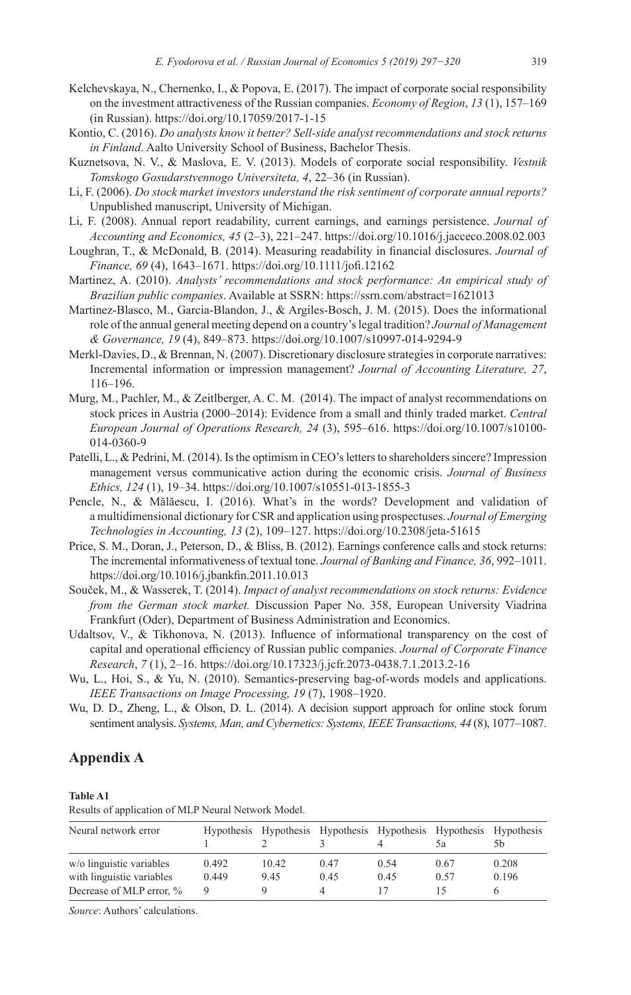- Kelchevskaya, N., Chernenko, I., & Popova, E. (2017). The impact of corporate social responsibility on the investment attractiveness of the Russian companies. *Economy of Region*, *13* (1), 157–169 (in Russian). <https://doi.org/10.17059/2017-1-15>
- Kontio, C. (2016). *Do analysts know it better? Sell-side analyst recommendations and stock returns in Finland*. Aalto University School of Business, Bachelor Thesis.
- Kuznetsova, N. V., & Maslova, E. V. (2013). Models of corporate social responsibility. *Vestnik Tomskogo Gosudarstvennogo Universiteta, 4*, 22–36 (in Russian).
- Li, F. (2006). *Do stock market investors understand the risk sentiment of corporate annual reports?*  Unpublished manuscript, University of Michigan.
- Li, F. (2008). Annual report readability, current earnings, and earnings persistence. *Journal of Accounting and Economics, 45* (2–3), 221–247. <https://doi.org/10.1016/j.jacceco.2008.02.003>
- Loughran, T., & McDonald, B. (2014). Measuring readability in financial disclosures. *Journal of Finance, 69* (4), 1643–1671. <https://doi.org/10.1111/jofi.12162>
- Martinez, A. (2010). *Analysts' recommendations and stock performance: An empirical study of Brazilian public companies*. Available at SSRN:<https://ssrn.com/abstract=1621013>
- Martinez-Blasco, M., Garcia-Blandon, J., & Argiles-Bosch, J. M. (2015). Does the informational role ofthe annual general meeting depend on a country'slegal tradition? *Journal of Management & Governance, 19* (4), 849–873. <https://doi.org/10.1007/s10997-014-9294-9>
- Merkl-Davies, D., & Brennan, N. (2007). Discretionary disclosure strategies in corporate narratives: Incremental information or impression management? *Journal of Accounting Literature, 27*, 116–196.
- Murg, M., Pachler, M., & Zeitlberger, A. C. M. (2014). The impact of analyst recommendations on stock prices in Austria (2000–2014): Evidence from a small and thinly traded market. *Central European Journal of Operations Research, 24* (3), 595–616. [https://doi.org/10.1007/s10100-](https://doi.org/10.1007/s10100-014-0360-9) [014-0360-9](https://doi.org/10.1007/s10100-014-0360-9)
- Patelli, L., & Pedrini, M. (2014). Is the optimism in CEO's letters to shareholders sincere? Impression management versus communicative action during the economic crisis. *Journal of Business Ethics, 124* (1), 19–34.<https://doi.org/10.1007/s10551-013-1855-3>
- Pencle, N., & Mălăescu, I. (2016). What's in the words? Development and validation of a multidimensional dictionary for CSR and application using prospectuses. *Journal of Emerging Technologies in Accounting, 13* (2), 109–127. <https://doi.org/10.2308/jeta-51615>
- Price, S. M., Doran, J., Peterson, D., & Bliss, B. (2012). Earnings conference calls and stock returns: The incremental informativeness of textual tone. *Journal of Banking and Finance, 36*, 992–1011. <https://doi.org/10.1016/j.jbankfin.2011.10.013>
- Souček, M., & Wasserek, T. (2014). *Impact of analyst recommendations on stock returns: Evidence from the German stock market.* Discussion Paper No. 358, European University Viadrina Frankfurt (Oder), Department of Business Administration and Economics.
- Udaltsov, V., & Tikhonova, N. (2013). Influence of informational transparency on the cost of capital and operational efficiency of Russian public companies. *Journal of Corporate Finance Research*, *7* (1), 2–16. <https://doi.org/10.17323/j.jcfr.2073-0438.7.1.2013.2-16>
- Wu, L., Hoi, S., & Yu, N. (2010). Semantics-preserving bag-of-words models and applications. *IEEE Transactions on Image Processing, 19* (7), 1908–1920.
- Wu, D. D., Zheng, L., & Olson, D. L. (2014). A decision support approach for online stock forum sentiment analysis. *Systems, Man, and Cybernetics: Systems, IEEE Transactions, 44* (8), 1077–1087.

# **Appendix A**

#### **Table A1**

Results of application of MLP Neural Network Model.

| Neural network error      |       |       |      |      | Hypothesis Hypothesis Hypothesis Hypothesis Hypothesis Hypothesis<br>٦a | 5b.   |
|---------------------------|-------|-------|------|------|-------------------------------------------------------------------------|-------|
| w/o linguistic variables  | 0.492 | 10.42 | 0.47 | 0.54 | 0.67                                                                    | 0.208 |
| with linguistic variables | 0.449 | 9.45  | 0.45 | 0.45 | 0.57                                                                    | 0.196 |
| Decrease of MLP error, %  | Q     |       |      |      |                                                                         |       |